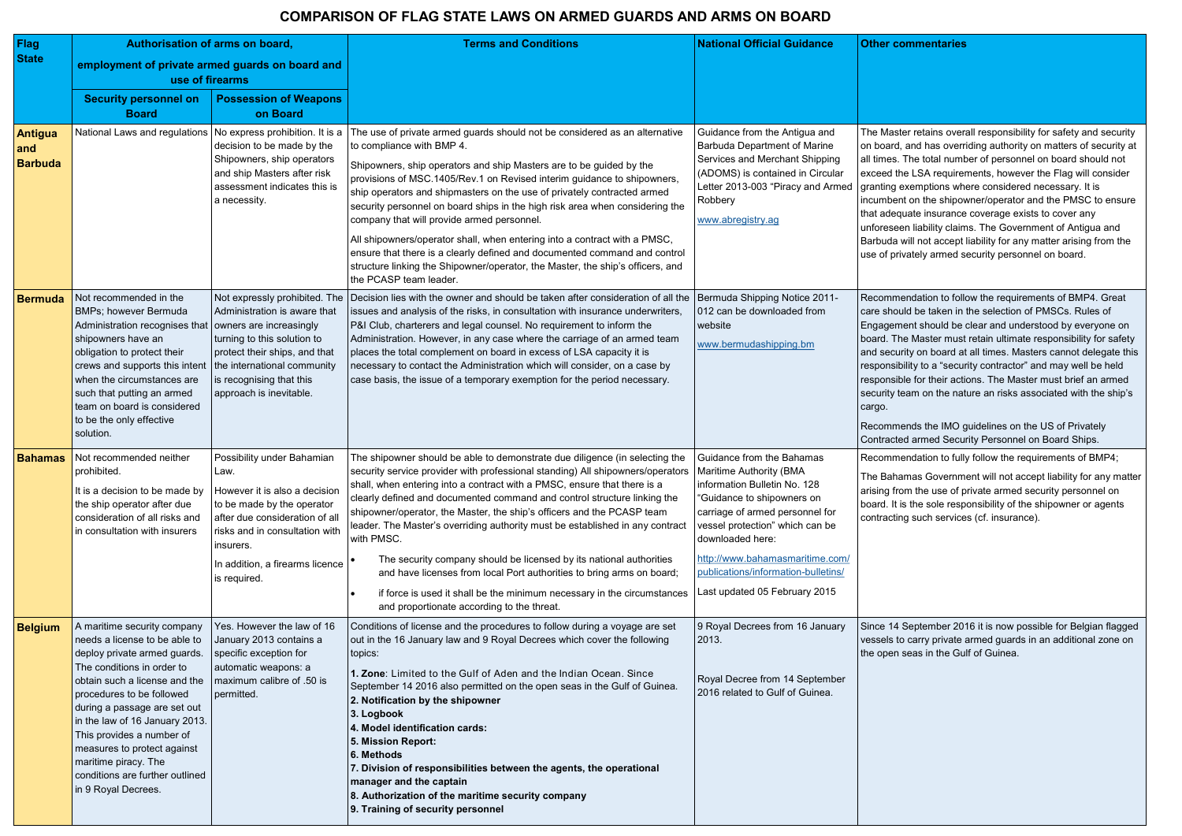| <b>Flag</b><br><b>State</b><br><b>Antigua</b><br>and<br><b>Barbuda</b> | Authorisation of arms on board,<br>employment of private armed guards on board and<br>use of firearms<br><b>Security personnel on</b><br><b>Board</b><br>National Laws and regulations                                                                                                                                                                                                                   | <b>Possession of Weapons</b><br>on Board<br>No express prohibition. It is a<br>decision to be made by the<br>Shipowners, ship operators<br>and ship Masters after risk<br>assessment indicates this is<br>a necessity.                | <b>Terms and Conditions</b><br>The use of private armed guards should not be considered as an alternative<br>to compliance with BMP 4.<br>Shipowners, ship operators and ship Masters are to be guided by the<br>provisions of MSC.1405/Rev.1 on Revised interim guidance to shipowners,<br>ship operators and shipmasters on the use of privately contracted armed                                                                                                                                                                                                                                                                                                                                                                                                                  | <b>National Official Guidance</b><br>Guidance from the Antigua and<br><b>Barbuda Department of Marine</b><br>Services and Merchant Shipping<br>(ADOMS) is contained in Circular<br>Letter 2013-003 "Piracy and Armed<br>Robbery                                                                                         | <b>Other commentaries</b><br>The Master retains overa<br>on board, and has overri<br>all times. The total numb<br>exceed the LSA requiren<br>granting exemptions whe<br>incumbent on the shipow                                                                                                    |
|------------------------------------------------------------------------|----------------------------------------------------------------------------------------------------------------------------------------------------------------------------------------------------------------------------------------------------------------------------------------------------------------------------------------------------------------------------------------------------------|---------------------------------------------------------------------------------------------------------------------------------------------------------------------------------------------------------------------------------------|--------------------------------------------------------------------------------------------------------------------------------------------------------------------------------------------------------------------------------------------------------------------------------------------------------------------------------------------------------------------------------------------------------------------------------------------------------------------------------------------------------------------------------------------------------------------------------------------------------------------------------------------------------------------------------------------------------------------------------------------------------------------------------------|-------------------------------------------------------------------------------------------------------------------------------------------------------------------------------------------------------------------------------------------------------------------------------------------------------------------------|----------------------------------------------------------------------------------------------------------------------------------------------------------------------------------------------------------------------------------------------------------------------------------------------------|
|                                                                        |                                                                                                                                                                                                                                                                                                                                                                                                          |                                                                                                                                                                                                                                       | security personnel on board ships in the high risk area when considering the<br>company that will provide armed personnel.<br>All shipowners/operator shall, when entering into a contract with a PMSC,<br>ensure that there is a clearly defined and documented command and control<br>structure linking the Shipowner/operator, the Master, the ship's officers, and<br>the PCASP team leader.                                                                                                                                                                                                                                                                                                                                                                                     | www.abregistry.ag                                                                                                                                                                                                                                                                                                       | that adequate insurance<br>unforeseen liability claim<br>Barbuda will not accept li<br>use of privately armed se                                                                                                                                                                                   |
| <b>Bermuda</b>                                                         | Not recommended in the<br>BMPs; however Bermuda<br>Administration recognises that   owners are increasingly<br>shipowners have an<br>obligation to protect their<br>crews and supports this intent<br>when the circumstances are<br>such that putting an armed<br>team on board is considered<br>to be the only effective<br>solution.                                                                   | Not expressly prohibited. The<br>Administration is aware that<br>turning to this solution to<br>protect their ships, and that<br>the international community<br>is recognising that this<br>approach is inevitable.                   | Decision lies with the owner and should be taken after consideration of all the<br>issues and analysis of the risks, in consultation with insurance underwriters,<br>P&I Club, charterers and legal counsel. No requirement to inform the<br>Administration. However, in any case where the carriage of an armed team<br>places the total complement on board in excess of LSA capacity it is<br>necessary to contact the Administration which will consider, on a case by<br>case basis, the issue of a temporary exemption for the period necessary.                                                                                                                                                                                                                               | Bermuda Shipping Notice 2011-<br>012 can be downloaded from<br>website<br>www.bermudashipping.bm                                                                                                                                                                                                                        | Recommendation to follo<br>care should be taken in t<br>Engagement should be o<br>board. The Master must<br>and security on board at<br>responsibility to a "securi<br>responsible for their actio<br>security team on the natu<br>cargo.<br>Recommends the IMO g<br><b>Contracted armed Secur</b> |
| <b>Bahamas</b>                                                         | Not recommended neither<br>prohibited.<br>It is a decision to be made by<br>the ship operator after due<br>consideration of all risks and<br>in consultation with insurers                                                                                                                                                                                                                               | Possibility under Bahamian<br>Law.<br>However it is also a decision<br>to be made by the operator<br>after due consideration of all<br>risks and in consultation with<br>insurers.<br>In addition, a firearms licence<br>is required. | The shipowner should be able to demonstrate due diligence (in selecting the<br>security service provider with professional standing) All shipowners/operators<br>shall, when entering into a contract with a PMSC, ensure that there is a<br>clearly defined and documented command and control structure linking the<br>shipowner/operator, the Master, the ship's officers and the PCASP team<br>leader. The Master's overriding authority must be established in any contract<br>with PMSC.<br>The security company should be licensed by its national authorities<br>and have licenses from local Port authorities to bring arms on board;<br>if force is used it shall be the minimum necessary in the circumstances<br>$\bullet$<br>and proportionate according to the threat. | Guidance from the Bahamas<br>Maritime Authority (BMA<br>information Bulletin No. 128<br>"Guidance to shipowners on<br>carriage of armed personnel for<br>vessel protection" which can be<br>downloaded here:<br>http://www.bahamasmaritime.com/<br>publications/information-bulletins/<br>Last updated 05 February 2015 | Recommendation to fully<br>The Bahamas Governme<br>arising from the use of pi<br>board. It is the sole respo<br>contracting such services                                                                                                                                                          |
| <b>Belgium</b>                                                         | A maritime security company<br>needs a license to be able to<br>deploy private armed guards.<br>The conditions in order to<br>obtain such a license and the<br>procedures to be followed<br>during a passage are set out<br>in the law of 16 January 2013.<br>This provides a number of<br>measures to protect against<br>maritime piracy. The<br>conditions are further outlined<br>in 9 Royal Decrees. | Yes. However the law of 16<br>January 2013 contains a<br>specific exception for<br>automatic weapons: a<br>maximum calibre of .50 is<br>permitted.                                                                                    | Conditions of license and the procedures to follow during a voyage are set<br>out in the 16 January law and 9 Royal Decrees which cover the following<br>topics:<br>1. Zone: Limited to the Gulf of Aden and the Indian Ocean. Since<br>September 14 2016 also permitted on the open seas in the Gulf of Guinea.<br>2. Notification by the shipowner<br>3. Logbook<br>4. Model identification cards:<br>5. Mission Report:<br>6. Methods<br>7. Division of responsibilities between the agents, the operational<br>manager and the captain<br>8. Authorization of the maritime security company<br>9. Training of security personnel                                                                                                                                                 | 9 Royal Decrees from 16 January<br>2013.<br>Royal Decree from 14 September<br>2016 related to Gulf of Guinea.                                                                                                                                                                                                           | Since 14 September 201<br>vessels to carry private a<br>the open seas in the Gul                                                                                                                                                                                                                   |

aster retains overall responsibility for safety and security ard, and has overriding authority on matters of security at es. The total number of personnel on board should not the LSA requirements, however the Flag will consider g exemptions where considered necessary. It is bent on the shipowner/operator and the PMSC to ensure lequate insurance coverage exists to cover any seen liability claims. The Government of Antigua and da will not accept liability for any matter arising from the privately armed security personnel on board.

imendation to follow the requirements of BMP4. Great hould be taken in the selection of PMSCs. Rules of ement should be clear and understood by everyone on The Master must retain ultimate responsibility for safety curity on board at all times. Masters cannot delegate this isibility to a "security contractor" and may well be held isible for their actions. The Master must brief an armed ty team on the nature an risks associated with the ship's

Imends the IMO guidelines on the US of Privately Icted armed Security Personnel on Board Ships.

imendation to fully follow the requirements of BMP4;

ahamas Government will not accept liability for any matter from the use of private armed security personnel on It is the sole responsibility of the shipowner or agents cting such services (cf. insurance).

14 September 2016 it is now possible for Belgian flagged s to carry private armed guards in an additional zone on en seas in the Gulf of Guinea.

## **COMPARISON OF FLAG STATE LAWS ON ARMED GUARDS AND ARMS ON BOARD**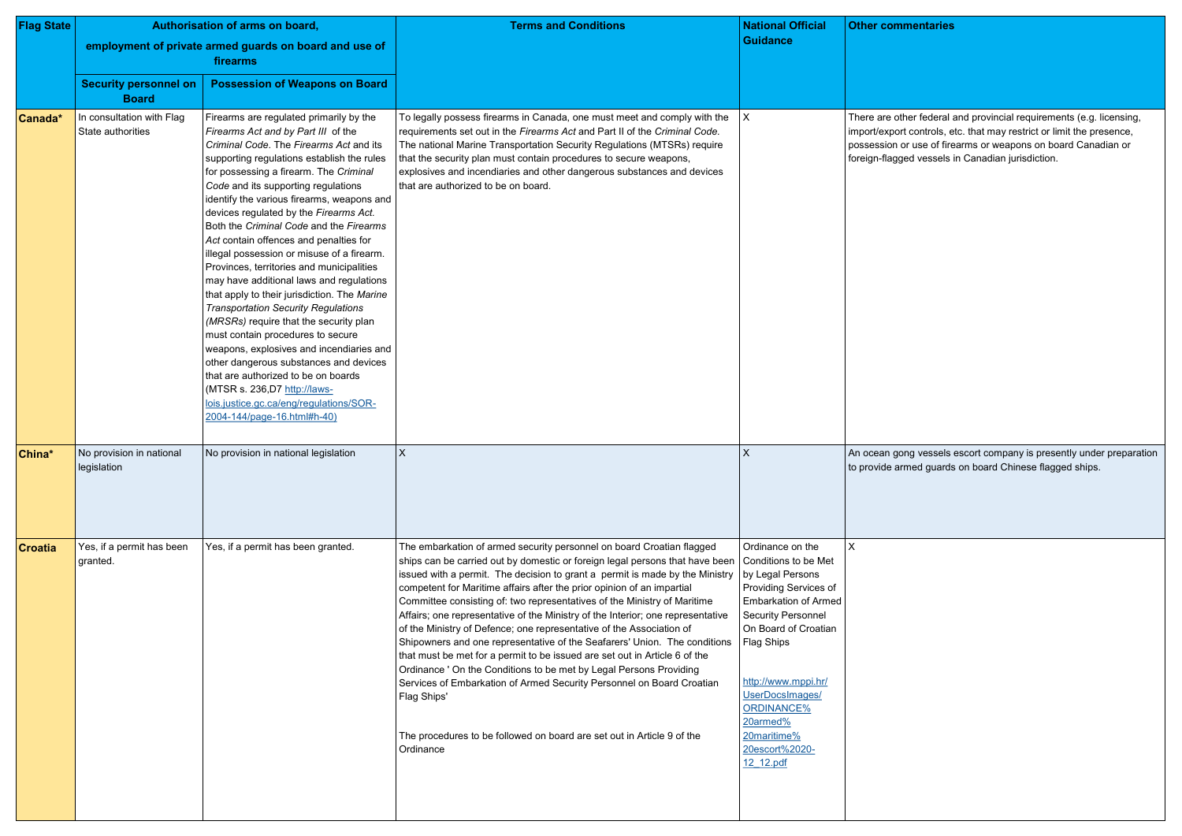| <b>Flag State</b> | Authorisation of arms on board,                |                                                                                                                                                                                                                                                                                                                                                                                                                                                                                                                                                                                                                                                                                                                                                                                                                                                                                                                                                                                                   | <b>Terms and Conditions</b>                                                                                                                                                                                                                                                                                                                                                                                                                                                                                                                                                                                                                                                                                                                                                                                                                                                                                                                                            | <b>National Official</b>                                                                                                                                                                                                                                                                                  | <b>Other cor</b>                                      |
|-------------------|------------------------------------------------|---------------------------------------------------------------------------------------------------------------------------------------------------------------------------------------------------------------------------------------------------------------------------------------------------------------------------------------------------------------------------------------------------------------------------------------------------------------------------------------------------------------------------------------------------------------------------------------------------------------------------------------------------------------------------------------------------------------------------------------------------------------------------------------------------------------------------------------------------------------------------------------------------------------------------------------------------------------------------------------------------|------------------------------------------------------------------------------------------------------------------------------------------------------------------------------------------------------------------------------------------------------------------------------------------------------------------------------------------------------------------------------------------------------------------------------------------------------------------------------------------------------------------------------------------------------------------------------------------------------------------------------------------------------------------------------------------------------------------------------------------------------------------------------------------------------------------------------------------------------------------------------------------------------------------------------------------------------------------------|-----------------------------------------------------------------------------------------------------------------------------------------------------------------------------------------------------------------------------------------------------------------------------------------------------------|-------------------------------------------------------|
|                   |                                                | employment of private armed guards on board and use of<br>firearms                                                                                                                                                                                                                                                                                                                                                                                                                                                                                                                                                                                                                                                                                                                                                                                                                                                                                                                                |                                                                                                                                                                                                                                                                                                                                                                                                                                                                                                                                                                                                                                                                                                                                                                                                                                                                                                                                                                        | <b>Guidance</b>                                                                                                                                                                                                                                                                                           |                                                       |
|                   | <b>Security personnel on</b><br><b>Board</b>   | <b>Possession of Weapons on Board</b>                                                                                                                                                                                                                                                                                                                                                                                                                                                                                                                                                                                                                                                                                                                                                                                                                                                                                                                                                             |                                                                                                                                                                                                                                                                                                                                                                                                                                                                                                                                                                                                                                                                                                                                                                                                                                                                                                                                                                        |                                                                                                                                                                                                                                                                                                           |                                                       |
| Canada*           | In consultation with Flag<br>State authorities | Firearms are regulated primarily by the<br>Firearms Act and by Part III of the<br>Criminal Code. The Firearms Act and its<br>supporting regulations establish the rules<br>for possessing a firearm. The Criminal<br>Code and its supporting regulations<br>identify the various firearms, weapons and<br>devices regulated by the Firearms Act.<br>Both the Criminal Code and the Firearms<br>Act contain offences and penalties for<br>illegal possession or misuse of a firearm.<br>Provinces, territories and municipalities<br>may have additional laws and regulations<br>that apply to their jurisdiction. The Marine<br><b>Transportation Security Regulations</b><br>(MRSRs) require that the security plan<br>must contain procedures to secure<br>weapons, explosives and incendiaries and<br>other dangerous substances and devices<br>that are authorized to be on boards<br>(MTSR s. 236, D7 http://laws-<br>lois.justice.gc.ca/eng/regulations/SOR-<br>2004-144/page-16.html#h-40) | To legally possess firearms in Canada, one must meet and comply with the<br>requirements set out in the Firearms Act and Part II of the Criminal Code.<br>The national Marine Transportation Security Regulations (MTSRs) require<br>that the security plan must contain procedures to secure weapons,<br>explosives and incendiaries and other dangerous substances and devices<br>that are authorized to be on board.                                                                                                                                                                                                                                                                                                                                                                                                                                                                                                                                                | X                                                                                                                                                                                                                                                                                                         | There are<br>import/exp<br>possession<br>foreign-flag |
| China*            | No provision in national<br>legislation        | No provision in national legislation                                                                                                                                                                                                                                                                                                                                                                                                                                                                                                                                                                                                                                                                                                                                                                                                                                                                                                                                                              | $\times$                                                                                                                                                                                                                                                                                                                                                                                                                                                                                                                                                                                                                                                                                                                                                                                                                                                                                                                                                               | $\boldsymbol{\mathsf{X}}$                                                                                                                                                                                                                                                                                 | An ocean<br>to provide                                |
| <b>Croatia</b>    | Yes, if a permit has been<br>granted.          | Yes, if a permit has been granted.                                                                                                                                                                                                                                                                                                                                                                                                                                                                                                                                                                                                                                                                                                                                                                                                                                                                                                                                                                | The embarkation of armed security personnel on board Croatian flagged<br>ships can be carried out by domestic or foreign legal persons that have been<br>issued with a permit. The decision to grant a permit is made by the Ministry<br>competent for Maritime affairs after the prior opinion of an impartial<br>Committee consisting of: two representatives of the Ministry of Maritime<br>Affairs; one representative of the Ministry of the Interior; one representative<br>of the Ministry of Defence; one representative of the Association of<br>Shipowners and one representative of the Seafarers' Union. The conditions<br>that must be met for a permit to be issued are set out in Article 6 of the<br>Ordinance ' On the Conditions to be met by Legal Persons Providing<br>Services of Embarkation of Armed Security Personnel on Board Croatian<br>Flag Ships'<br>The procedures to be followed on board are set out in Article 9 of the<br>Ordinance | Ordinance on the<br>Conditions to be Met<br>by Legal Persons<br>Providing Services of<br><b>Embarkation of Armed</b><br><b>Security Personnel</b><br>On Board of Croatian<br>Flag Ships<br>http://www.mppi.hr/<br>UserDocsImages/<br>ORDINANCE%<br>20armed%<br>20maritime%<br>20escort%2020-<br>12 12.pdf | $\mathsf{X}$                                          |

other federal and provincial requirements (e.g. licensing, port controls, etc. that may restrict or limit the presence, on or use of firearms or weapons on board Canadian or agged vessels in Canadian jurisdiction.

gong vessels escort company is presently under preparation  $\alpha$  armed guards on board Chinese flagged ships.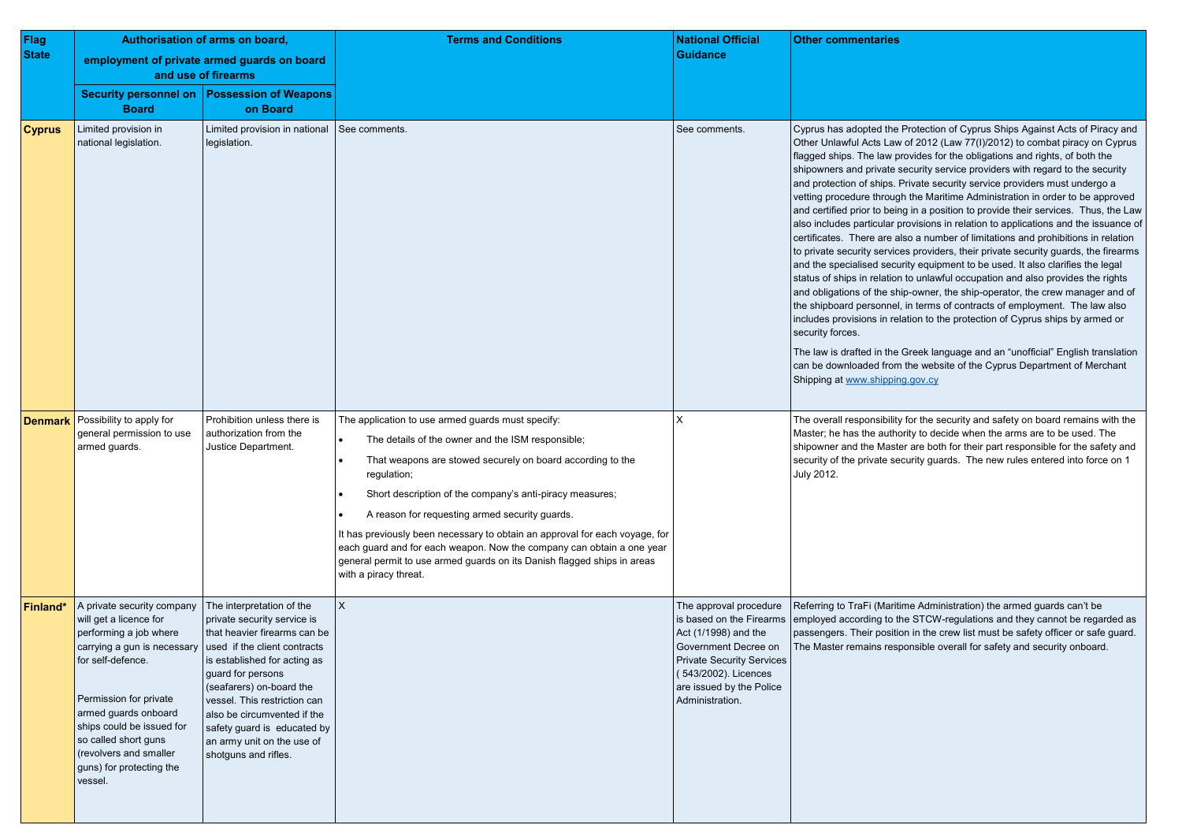| Flag          | Authorisation of arms on board,                                                                                                                                                                                                                                                                            |                                                                                                                                                                                                                                                                                                                                                               | <b>Terms and Conditions</b>                                                                                                                                                                                                                                                                                                                                                                                                                                                                                                                                                                                       | <b>National Official</b>                                                                                                                                                                                      | <b>Other commentaries</b>                                                                                                                                                                                                                                                                                                                                                                                                                                                                                                                                |
|---------------|------------------------------------------------------------------------------------------------------------------------------------------------------------------------------------------------------------------------------------------------------------------------------------------------------------|---------------------------------------------------------------------------------------------------------------------------------------------------------------------------------------------------------------------------------------------------------------------------------------------------------------------------------------------------------------|-------------------------------------------------------------------------------------------------------------------------------------------------------------------------------------------------------------------------------------------------------------------------------------------------------------------------------------------------------------------------------------------------------------------------------------------------------------------------------------------------------------------------------------------------------------------------------------------------------------------|---------------------------------------------------------------------------------------------------------------------------------------------------------------------------------------------------------------|----------------------------------------------------------------------------------------------------------------------------------------------------------------------------------------------------------------------------------------------------------------------------------------------------------------------------------------------------------------------------------------------------------------------------------------------------------------------------------------------------------------------------------------------------------|
| <b>State</b>  |                                                                                                                                                                                                                                                                                                            | employment of private armed guards on board<br>and use of firearms                                                                                                                                                                                                                                                                                            |                                                                                                                                                                                                                                                                                                                                                                                                                                                                                                                                                                                                                   | <b>Guidance</b>                                                                                                                                                                                               |                                                                                                                                                                                                                                                                                                                                                                                                                                                                                                                                                          |
|               | <b>Board</b>                                                                                                                                                                                                                                                                                               | Security personnel on   Possession of Weapons<br>on Board                                                                                                                                                                                                                                                                                                     |                                                                                                                                                                                                                                                                                                                                                                                                                                                                                                                                                                                                                   |                                                                                                                                                                                                               |                                                                                                                                                                                                                                                                                                                                                                                                                                                                                                                                                          |
| <b>Cyprus</b> | Limited provision in<br>national legislation.                                                                                                                                                                                                                                                              | Limited provision in national<br>legislation.                                                                                                                                                                                                                                                                                                                 | See comments.                                                                                                                                                                                                                                                                                                                                                                                                                                                                                                                                                                                                     | See comments.                                                                                                                                                                                                 | Cyprus has adopted the<br>Other Unlawful Acts Law<br>flagged ships. The law pi<br>shipowners and private s<br>and protection of ships. F<br>vetting procedure througl<br>and certified prior to bein<br>also includes particular p<br>certificates. There are al<br>to private security service<br>and the specialised secu<br>status of ships in relation<br>and obligations of the shi<br>the shipboard personnel,<br>includes provisions in rel<br>security forces.<br>The law is drafted in the<br>can be downloaded from<br>Shipping at www.shippin |
|               | <b>Denmark</b> Possibility to apply for<br>general permission to use<br>armed guards.                                                                                                                                                                                                                      | Prohibition unless there is<br>authorization from the<br>Justice Department.                                                                                                                                                                                                                                                                                  | The application to use armed guards must specify:<br>The details of the owner and the ISM responsible;<br>$\bullet$<br>That weapons are stowed securely on board according to the<br>$\bullet$<br>regulation;<br>Short description of the company's anti-piracy measures;<br>$\bullet$<br>A reason for requesting armed security guards.<br>$\bullet$<br>It has previously been necessary to obtain an approval for each voyage, for<br>each guard and for each weapon. Now the company can obtain a one year<br>general permit to use armed guards on its Danish flagged ships in areas<br>with a piracy threat. | Χ                                                                                                                                                                                                             | The overall responsibility<br>Master; he has the autho<br>shipowner and the Maste<br>security of the private se<br>July 2012.                                                                                                                                                                                                                                                                                                                                                                                                                            |
| Finland*      | A private security company<br>will get a licence for<br>performing a job where<br>carrying a gun is necessary<br>for self-defence.<br>Permission for private<br>armed guards onboard<br>ships could be issued for<br>so called short guns<br>(revolvers and smaller<br>guns) for protecting the<br>vessel. | The interpretation of the<br>private security service is<br>that heavier firearms can be<br>used if the client contracts<br>is established for acting as<br>guard for persons<br>(seafarers) on-board the<br>vessel. This restriction can<br>also be circumvented if the<br>safety guard is educated by<br>an army unit on the use of<br>shotguns and rifles. | $\overline{\mathsf{X}}$                                                                                                                                                                                                                                                                                                                                                                                                                                                                                                                                                                                           | The approval procedure<br>is based on the Firearms<br>Act (1/1998) and the<br>Government Decree on<br><b>Private Security Services</b><br>(543/2002). Licences<br>are issued by the Police<br>Administration. | Referring to TraFi (Mariti<br>employed according to th<br>passengers. Their positic<br>The Master remains resp                                                                                                                                                                                                                                                                                                                                                                                                                                           |



ne Protection of Cyprus Ships Against Acts of Piracy and aw of 2012 (Law 77(I)/2012) to combat piracy on Cyprus provides for the obligations and rights, of both the s security service providers with regard to the security a. Private security service providers must undergo a ugh the Maritime Administration in order to be approved eing in a position to provide their services. Thus, the Law provisions in relation to applications and the issuance of also a number of limitations and prohibitions in relation ices providers, their private security guards, the firearms curity equipment to be used. It also clarifies the legal ion to unlawful occupation and also provides the rights ship-owner, the ship-operator, the crew manager and of the shipponent. The law also relation to the protection of Cyprus ships by armed or

Ie Greek language and an "unofficial" English translation om the website of the Cyprus Department of Merchant ing gov.cy

lity for the security and safety on board remains with the thority to decide when the arms are to be used. The aster are both for their part responsible for the safety and security guards. The new rules entered into force on 1

ritime Administration) the armed guards can't be the STCW-regulations and they cannot be regarded as ition in the crew list must be safety officer or safe guard. esponsible overall for safety and security onboard.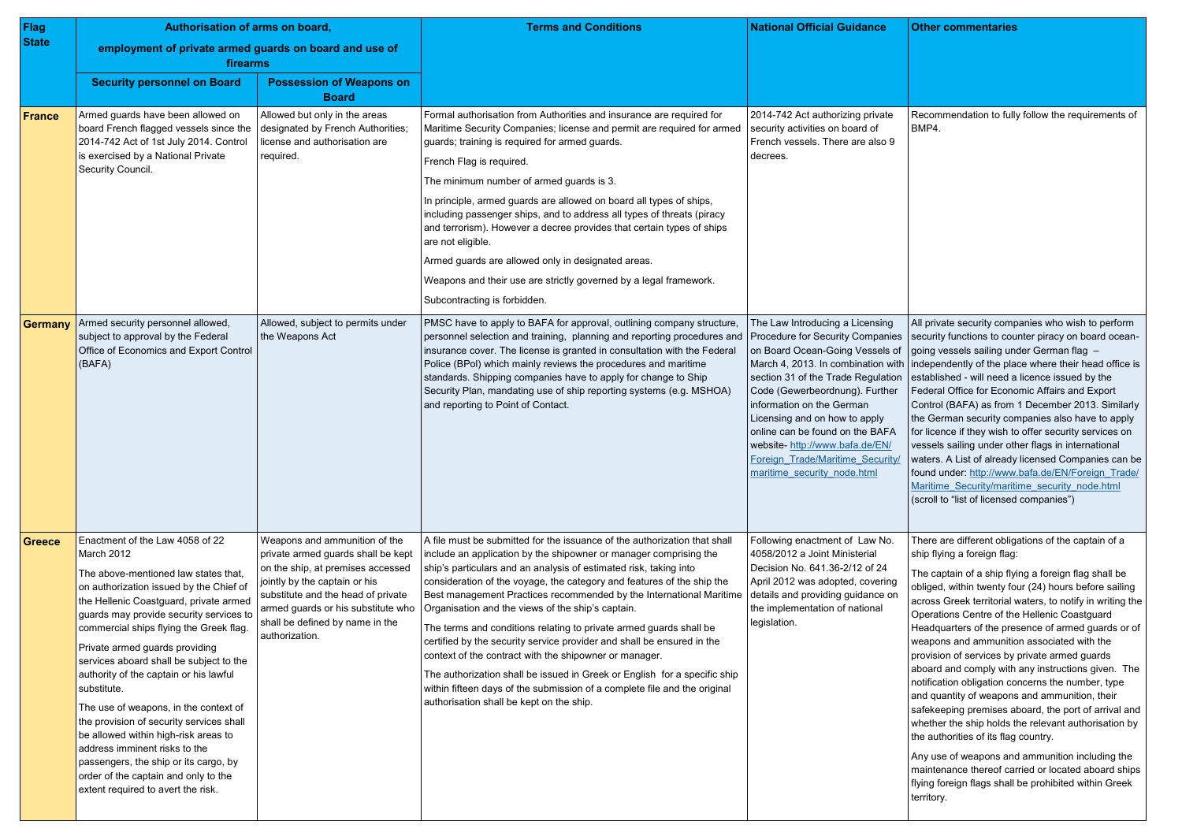| <b>Flag</b>   | Authorisation of arms on board,                                                                                                                                                                                                                                                                                                                                                                                                                                                                                                                                                                                                                                                             |                                                                                                                                                                                                                                                                            | <b>Terms and Conditions</b>                                                                                                                                                                                                                                                                                                                                                                                                                                                                                                                                                                                                                                                                                                                                                                                                               | <b>National Official Guidance</b>                                                                                                                                                                                                                                                                                                                                                                                                                        | <b>Other commentaries</b>                                                                                                                                                                                                                                                                                                                                                                                                                                                                                                                        |
|---------------|---------------------------------------------------------------------------------------------------------------------------------------------------------------------------------------------------------------------------------------------------------------------------------------------------------------------------------------------------------------------------------------------------------------------------------------------------------------------------------------------------------------------------------------------------------------------------------------------------------------------------------------------------------------------------------------------|----------------------------------------------------------------------------------------------------------------------------------------------------------------------------------------------------------------------------------------------------------------------------|-------------------------------------------------------------------------------------------------------------------------------------------------------------------------------------------------------------------------------------------------------------------------------------------------------------------------------------------------------------------------------------------------------------------------------------------------------------------------------------------------------------------------------------------------------------------------------------------------------------------------------------------------------------------------------------------------------------------------------------------------------------------------------------------------------------------------------------------|----------------------------------------------------------------------------------------------------------------------------------------------------------------------------------------------------------------------------------------------------------------------------------------------------------------------------------------------------------------------------------------------------------------------------------------------------------|--------------------------------------------------------------------------------------------------------------------------------------------------------------------------------------------------------------------------------------------------------------------------------------------------------------------------------------------------------------------------------------------------------------------------------------------------------------------------------------------------------------------------------------------------|
| <b>State</b>  | employment of private armed guards on board and use of<br>firearms                                                                                                                                                                                                                                                                                                                                                                                                                                                                                                                                                                                                                          |                                                                                                                                                                                                                                                                            |                                                                                                                                                                                                                                                                                                                                                                                                                                                                                                                                                                                                                                                                                                                                                                                                                                           |                                                                                                                                                                                                                                                                                                                                                                                                                                                          |                                                                                                                                                                                                                                                                                                                                                                                                                                                                                                                                                  |
|               | <b>Security personnel on Board</b>                                                                                                                                                                                                                                                                                                                                                                                                                                                                                                                                                                                                                                                          | <b>Possession of Weapons on</b><br><b>Board</b>                                                                                                                                                                                                                            |                                                                                                                                                                                                                                                                                                                                                                                                                                                                                                                                                                                                                                                                                                                                                                                                                                           |                                                                                                                                                                                                                                                                                                                                                                                                                                                          |                                                                                                                                                                                                                                                                                                                                                                                                                                                                                                                                                  |
| <b>France</b> | Armed guards have been allowed on<br>board French flagged vessels since the<br>2014-742 Act of 1st July 2014. Control<br>is exercised by a National Private<br>Security Council.                                                                                                                                                                                                                                                                                                                                                                                                                                                                                                            | Allowed but only in the areas<br>designated by French Authorities;<br>license and authorisation are<br>required.                                                                                                                                                           | Formal authorisation from Authorities and insurance are required for<br>Maritime Security Companies; license and permit are required for armed<br>guards; training is required for armed guards.<br>French Flag is required.<br>The minimum number of armed guards is 3.<br>In principle, armed guards are allowed on board all types of ships,<br>including passenger ships, and to address all types of threats (piracy<br>and terrorism). However a decree provides that certain types of ships<br>are not eligible.<br>Armed guards are allowed only in designated areas.<br>Weapons and their use are strictly governed by a legal framework.<br>Subcontracting is forbidden.                                                                                                                                                        | 2014-742 Act authorizing private<br>security activities on board of<br>French vessels. There are also 9<br>decrees.                                                                                                                                                                                                                                                                                                                                      | Recommendation to fully<br>BMP4.                                                                                                                                                                                                                                                                                                                                                                                                                                                                                                                 |
| Germany       | Armed security personnel allowed,<br>subject to approval by the Federal<br>Office of Economics and Export Control<br>(BAFA)                                                                                                                                                                                                                                                                                                                                                                                                                                                                                                                                                                 | Allowed, subject to permits under<br>the Weapons Act                                                                                                                                                                                                                       | PMSC have to apply to BAFA for approval, outlining company structure,<br>personnel selection and training, planning and reporting procedures and<br>insurance cover. The license is granted in consultation with the Federal<br>Police (BPol) which mainly reviews the procedures and maritime<br>standards. Shipping companies have to apply for change to Ship<br>Security Plan, mandating use of ship reporting systems (e.g. MSHOA)<br>and reporting to Point of Contact.                                                                                                                                                                                                                                                                                                                                                             | The Law Introducing a Licensing<br>Procedure for Security Companies<br>on Board Ocean-Going Vessels of<br>March 4, 2013. In combination with   independently of the plack<br>section 31 of the Trade Regulation<br>Code (Gewerbeordnung). Further<br>information on the German<br>Licensing and on how to apply<br>online can be found on the BAFA<br>website- http://www.bafa.de/EN/<br>Foreign Trade/Maritime Security/<br>maritime security node.html | All private security comp<br>security functions to cour<br>going vessels sailing und<br>established - will need a<br><b>Federal Office for Econo</b><br>Control (BAFA) as from<br>the German security con<br>for licence if they wish to<br>vessels sailing under oth<br>waters. A List of already<br>found under: http://www.<br>Maritime Security/mariti<br>(scroll to "list of licensed                                                                                                                                                       |
| Greece        | Enactment of the Law 4058 of 22<br>March 2012<br>The above-mentioned law states that,<br>on authorization issued by the Chief of<br>the Hellenic Coastguard, private armed<br>guards may provide security services to<br>commercial ships flying the Greek flag.<br>Private armed guards providing<br>services aboard shall be subject to the<br>authority of the captain or his lawful<br>substitute.<br>The use of weapons, in the context of<br>the provision of security services shall<br>be allowed within high-risk areas to<br>address imminent risks to the<br>passengers, the ship or its cargo, by<br>order of the captain and only to the<br>extent required to avert the risk. | Weapons and ammunition of the<br>private armed guards shall be kept<br>on the ship, at premises accessed<br>jointly by the captain or his<br>substitute and the head of private<br>armed guards or his substitute who<br>shall be defined by name in the<br>authorization. | A file must be submitted for the issuance of the authorization that shall<br>include an application by the shipowner or manager comprising the<br>ship's particulars and an analysis of estimated risk, taking into<br>consideration of the voyage, the category and features of the ship the<br>Best management Practices recommended by the International Maritime<br>Organisation and the views of the ship's captain.<br>The terms and conditions relating to private armed guards shall be<br>certified by the security service provider and shall be ensured in the<br>context of the contract with the shipowner or manager.<br>The authorization shall be issued in Greek or English for a specific ship<br>within fifteen days of the submission of a complete file and the original<br>authorisation shall be kept on the ship. | Following enactment of Law No.<br>4058/2012 a Joint Ministerial<br>Decision No. 641.36-2/12 of 24<br>April 2012 was adopted, covering<br>details and providing guidance on<br>the implementation of national<br>legislation.                                                                                                                                                                                                                             | There are different obliga<br>ship flying a foreign flag:<br>The captain of a ship flyi<br>obliged, within twenty fou<br>across Greek territorial w<br>Operations Centre of the<br>Headquarters of the pres<br>weapons and ammunitio<br>provision of services by p<br>aboard and comply with<br>notification obligation cor<br>and quantity of weapons<br>safekeeping premises at<br>whether the ship holds th<br>the authorities of its flag<br>Any use of weapons and<br>maintenance thereof car<br>flying foreign flags shall b<br>territory. |

|                                               | <b>Other commentaries</b>                                                                                                                                                                                                                                                                                                                                                                                                                                                                                                                                                                                                                                                                                                                                                                                                                                                                                                                                                  |
|-----------------------------------------------|----------------------------------------------------------------------------------------------------------------------------------------------------------------------------------------------------------------------------------------------------------------------------------------------------------------------------------------------------------------------------------------------------------------------------------------------------------------------------------------------------------------------------------------------------------------------------------------------------------------------------------------------------------------------------------------------------------------------------------------------------------------------------------------------------------------------------------------------------------------------------------------------------------------------------------------------------------------------------|
|                                               | Recommendation to fully follow the requirements of<br>BMP4.                                                                                                                                                                                                                                                                                                                                                                                                                                                                                                                                                                                                                                                                                                                                                                                                                                                                                                                |
| es<br>of<br>ith<br>วท<br>p.<br>Í<br><u>y/</u> | All private security companies who wish to perform<br>security functions to counter piracy on board ocean-<br>going vessels sailing under German flag<br>independently of the place where their head office is<br>established - will need a licence issued by the<br>Federal Office for Economic Affairs and Export<br>Control (BAFA) as from 1 December 2013. Similarly<br>the German security companies also have to apply<br>for licence if they wish to offer security services on<br>vessels sailing under other flags in international<br>waters. A List of already licensed Companies can be<br>found under: http://www.bafa.de/EN/Foreign Trade/<br>Maritime Security/maritime security node.html<br>(scroll to "list of licensed companies")                                                                                                                                                                                                                      |
| g<br>n                                        | There are different obligations of the captain of a<br>ship flying a foreign flag:<br>The captain of a ship flying a foreign flag shall be<br>obliged, within twenty four (24) hours before sailing<br>across Greek territorial waters, to notify in writing the<br>Operations Centre of the Hellenic Coastguard<br>Headquarters of the presence of armed guards or of<br>weapons and ammunition associated with the<br>provision of services by private armed guards<br>aboard and comply with any instructions given. The<br>notification obligation concerns the number, type<br>and quantity of weapons and ammunition, their<br>safekeeping premises aboard, the port of arrival and<br>whether the ship holds the relevant authorisation by<br>the authorities of its flag country.<br>Any use of weapons and ammunition including the<br>maintenance thereof carried or located aboard ships<br>flying foreign flags shall be prohibited within Greek<br>territory. |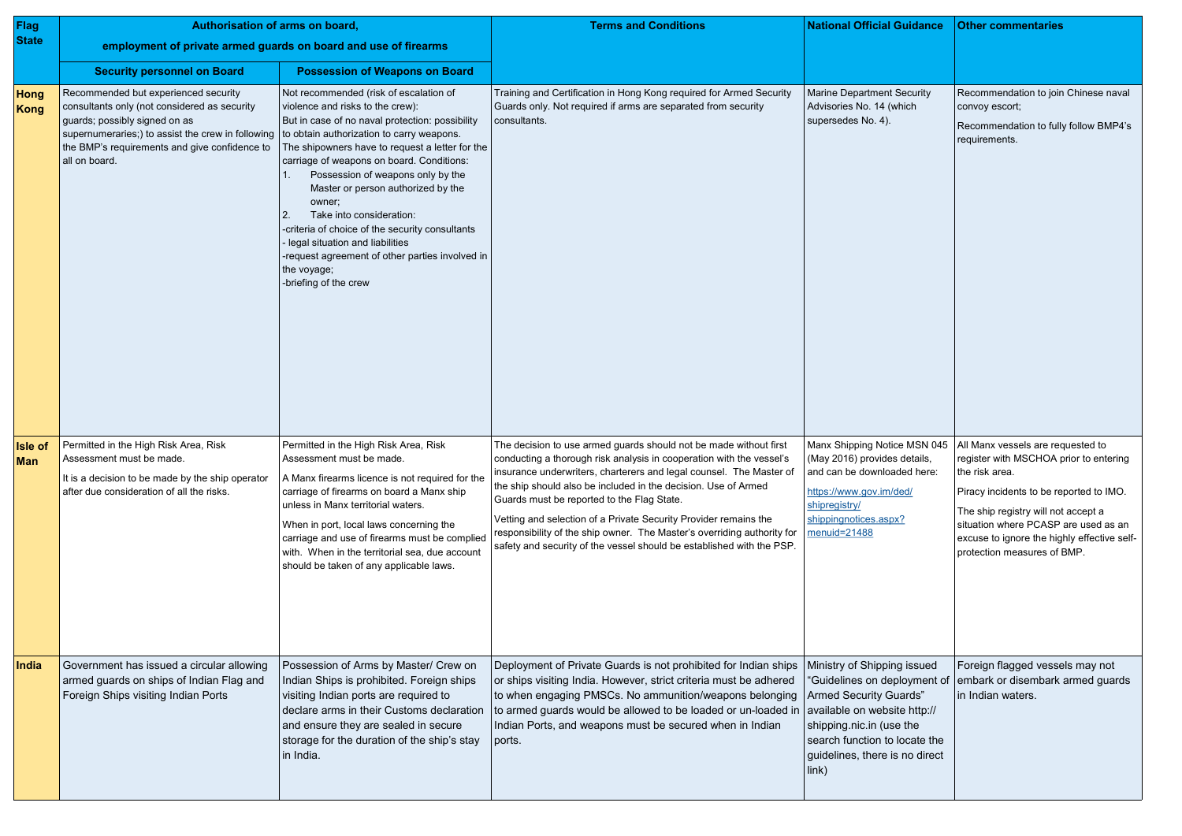| Flag                  | Authorisation of arms on board,                                                                                                                                                                                                                                                        |                                                                                                                                                                                                                                                                                                                                                                                                                                                                                                                                | <b>Terms and Conditions</b>                                                                                                                                                                                                                                                                                                                                                                                                                                                                                                                              | <b>National Official Guidance</b>                                                                                                                                                                                                              | <b>Other commentaries</b>                                                                                                                                                                                                                                                                                                            |
|-----------------------|----------------------------------------------------------------------------------------------------------------------------------------------------------------------------------------------------------------------------------------------------------------------------------------|--------------------------------------------------------------------------------------------------------------------------------------------------------------------------------------------------------------------------------------------------------------------------------------------------------------------------------------------------------------------------------------------------------------------------------------------------------------------------------------------------------------------------------|----------------------------------------------------------------------------------------------------------------------------------------------------------------------------------------------------------------------------------------------------------------------------------------------------------------------------------------------------------------------------------------------------------------------------------------------------------------------------------------------------------------------------------------------------------|------------------------------------------------------------------------------------------------------------------------------------------------------------------------------------------------------------------------------------------------|--------------------------------------------------------------------------------------------------------------------------------------------------------------------------------------------------------------------------------------------------------------------------------------------------------------------------------------|
| <b>State</b>          | employment of private armed guards on board and use of firearms                                                                                                                                                                                                                        |                                                                                                                                                                                                                                                                                                                                                                                                                                                                                                                                |                                                                                                                                                                                                                                                                                                                                                                                                                                                                                                                                                          |                                                                                                                                                                                                                                                |                                                                                                                                                                                                                                                                                                                                      |
|                       | <b>Security personnel on Board</b>                                                                                                                                                                                                                                                     | <b>Possession of Weapons on Board</b>                                                                                                                                                                                                                                                                                                                                                                                                                                                                                          |                                                                                                                                                                                                                                                                                                                                                                                                                                                                                                                                                          |                                                                                                                                                                                                                                                |                                                                                                                                                                                                                                                                                                                                      |
| Hong<br>Kong          | Recommended but experienced security<br>consultants only (not considered as security<br>guards; possibly signed on as<br>supernumeraries;) to assist the crew in following to obtain authorization to carry weapons.<br>the BMP's requirements and give confidence to<br>all on board. | Not recommended (risk of escalation of<br>violence and risks to the crew):<br>But in case of no naval protection: possibility<br>The shipowners have to request a letter for the<br>carriage of weapons on board. Conditions:<br>Possession of weapons only by the<br>Master or person authorized by the<br>owner;<br>Take into consideration:<br>-criteria of choice of the security consultants<br>legal situation and liabilities<br>request agreement of other parties involved in<br>the voyage;<br>-briefing of the crew | Training and Certification in Hong Kong required for Armed Security<br>Guards only. Not required if arms are separated from security<br>consultants.                                                                                                                                                                                                                                                                                                                                                                                                     | <b>Marine Department Security</b><br>Advisories No. 14 (which<br>supersedes No. 4).                                                                                                                                                            | Recommendation to join Chinese naval<br>convoy escort;<br>Recommendation to fully follow BMP4's<br>requirements.                                                                                                                                                                                                                     |
| <b>Isle of</b><br>Man | Permitted in the High Risk Area, Risk<br>Assessment must be made.<br>It is a decision to be made by the ship operator<br>after due consideration of all the risks.                                                                                                                     | Permitted in the High Risk Area, Risk<br>Assessment must be made.<br>A Manx firearms licence is not required for the<br>carriage of firearms on board a Manx ship<br>unless in Manx territorial waters.<br>When in port, local laws concerning the<br>carriage and use of firearms must be complied<br>with. When in the territorial sea, due account<br>should be taken of any applicable laws.                                                                                                                               | The decision to use armed guards should not be made without first<br>conducting a thorough risk analysis in cooperation with the vessel's<br>insurance underwriters, charterers and legal counsel. The Master of<br>the ship should also be included in the decision. Use of Armed<br>Guards must be reported to the Flag State.<br>Vetting and selection of a Private Security Provider remains the<br>responsibility of the ship owner. The Master's overriding authority for<br>safety and security of the vessel should be established with the PSP. | (May 2016) provides details,<br>and can be downloaded here:<br>https://www.gov.im/ded/<br>shipregistry/<br>shippingnotices.aspx?<br>menuid=21488                                                                                               | Manx Shipping Notice MSN 045   All Manx vessels are requested to<br>register with MSCHOA prior to entering<br>the risk area.<br>Piracy incidents to be reported to IMO.<br>The ship registry will not accept a<br>situation where PCASP are used as an<br>excuse to ignore the highly effective self-<br>protection measures of BMP. |
| India                 | Government has issued a circular allowing<br>armed guards on ships of Indian Flag and<br>Foreign Ships visiting Indian Ports                                                                                                                                                           | Possession of Arms by Master/ Crew on<br>Indian Ships is prohibited. Foreign ships<br>visiting Indian ports are required to<br>declare arms in their Customs declaration<br>and ensure they are sealed in secure<br>storage for the duration of the ship's stay<br>in India.                                                                                                                                                                                                                                                   | Deployment of Private Guards is not prohibited for Indian ships<br>or ships visiting India. However, strict criteria must be adhered<br>to when engaging PMSCs. No ammunition/weapons belonging<br>to armed guards would be allowed to be loaded or un-loaded in<br>Indian Ports, and weapons must be secured when in Indian<br>ports.                                                                                                                                                                                                                   | Ministry of Shipping issued<br>"Guidelines on deployment of<br><b>Armed Security Guards"</b><br>available on website http://<br>shipping.nic.in (use the<br>search function to locate the<br>guidelines, there is no direct<br>$\mathsf{link}$ | Foreign flagged vessels may not<br>embark or disembark armed guards<br>in Indian waters.                                                                                                                                                                                                                                             |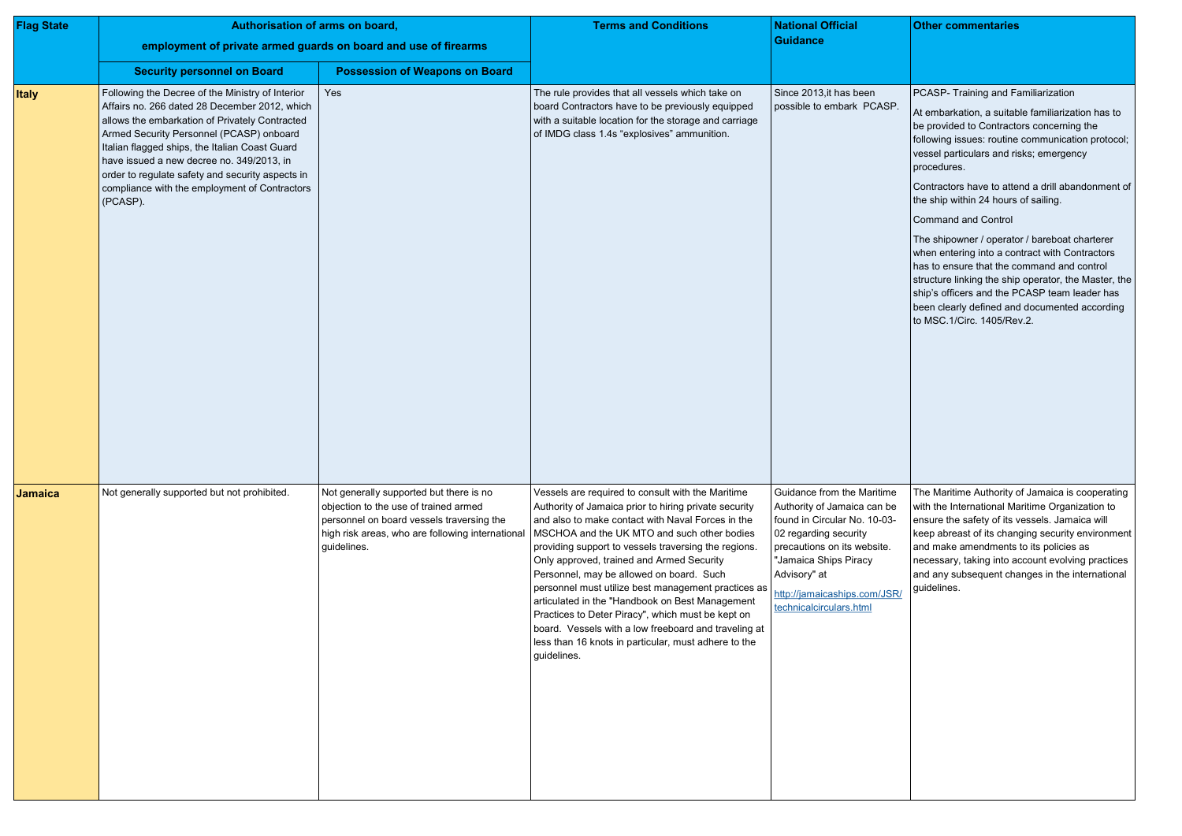| <b>Flag State</b> | Authorisation of arms on board,                                                                                                                                                                                                                                                                                                                                                                                 |                                                                                                                                                                                                  | <b>Terms and Conditions</b>                                                                                                                                                                                                                                                                                                                                                                                                                                                                                                                                                                                                                                   | <b>National Official</b>                                                                                                                                                                                                                              |  |
|-------------------|-----------------------------------------------------------------------------------------------------------------------------------------------------------------------------------------------------------------------------------------------------------------------------------------------------------------------------------------------------------------------------------------------------------------|--------------------------------------------------------------------------------------------------------------------------------------------------------------------------------------------------|---------------------------------------------------------------------------------------------------------------------------------------------------------------------------------------------------------------------------------------------------------------------------------------------------------------------------------------------------------------------------------------------------------------------------------------------------------------------------------------------------------------------------------------------------------------------------------------------------------------------------------------------------------------|-------------------------------------------------------------------------------------------------------------------------------------------------------------------------------------------------------------------------------------------------------|--|
|                   | employment of private armed guards on board and use of firearms                                                                                                                                                                                                                                                                                                                                                 |                                                                                                                                                                                                  |                                                                                                                                                                                                                                                                                                                                                                                                                                                                                                                                                                                                                                                               | <b>Guidance</b>                                                                                                                                                                                                                                       |  |
|                   | <b>Security personnel on Board</b>                                                                                                                                                                                                                                                                                                                                                                              | <b>Possession of Weapons on Board</b>                                                                                                                                                            |                                                                                                                                                                                                                                                                                                                                                                                                                                                                                                                                                                                                                                                               |                                                                                                                                                                                                                                                       |  |
| <b>Italy</b>      | Following the Decree of the Ministry of Interior<br>Affairs no. 266 dated 28 December 2012, which<br>allows the embarkation of Privately Contracted<br>Armed Security Personnel (PCASP) onboard<br>Italian flagged ships, the Italian Coast Guard<br>have issued a new decree no. 349/2013, in<br>order to regulate safety and security aspects in<br>compliance with the employment of Contractors<br>(PCASP). | Yes                                                                                                                                                                                              | The rule provides that all vessels which take on<br>board Contractors have to be previously equipped<br>with a suitable location for the storage and carriage<br>of IMDG class 1.4s "explosives" ammunition.                                                                                                                                                                                                                                                                                                                                                                                                                                                  | Since 2013, it has been<br>possible to embark PCASP.                                                                                                                                                                                                  |  |
| <b>Jamaica</b>    | Not generally supported but not prohibited.                                                                                                                                                                                                                                                                                                                                                                     | Not generally supported but there is no<br>objection to the use of trained armed<br>personnel on board vessels traversing the<br>high risk areas, who are following international<br>guidelines. | Vessels are required to consult with the Maritime<br>Authority of Jamaica prior to hiring private security<br>and also to make contact with Naval Forces in the<br>MSCHOA and the UK MTO and such other bodies<br>providing support to vessels traversing the regions.<br>Only approved, trained and Armed Security<br>Personnel, may be allowed on board. Such<br>personnel must utilize best management practices as<br>articulated in the "Handbook on Best Management<br>Practices to Deter Piracy", which must be kept on<br>board. Vessels with a low freeboard and traveling at<br>less than 16 knots in particular, must adhere to the<br>guidelines. | Guidance from the Maritime<br>Authority of Jamaica can be<br>found in Circular No. 10-03-<br>02 regarding security<br>precautions on its website.<br>"Jamaica Ships Piracy<br>Advisory" at<br>http://jamaicaships.com/JSR/<br>technicalcirculars.html |  |

| <b>Other commentaries</b>                                                                                                                                                                                                                                                                                                                                                   |
|-----------------------------------------------------------------------------------------------------------------------------------------------------------------------------------------------------------------------------------------------------------------------------------------------------------------------------------------------------------------------------|
|                                                                                                                                                                                                                                                                                                                                                                             |
|                                                                                                                                                                                                                                                                                                                                                                             |
| PCASP- Training and Familiarization<br>At embarkation, a suitable familiarization has to<br>be provided to Contractors concerning the<br>following issues: routine communication protocol;<br>vessel particulars and risks; emergency<br>procedures.                                                                                                                        |
| Contractors have to attend a drill abandonment of<br>the ship within 24 hours of sailing.                                                                                                                                                                                                                                                                                   |
| <b>Command and Control</b>                                                                                                                                                                                                                                                                                                                                                  |
| The shipowner / operator / bareboat charterer<br>when entering into a contract with Contractors<br>has to ensure that the command and control<br>structure linking the ship operator, the Master, the<br>ship's officers and the PCASP team leader has<br>been clearly defined and documented according<br>to MSC.1/Circ. 1405/Rev.2.                                       |
| The Maritime Authority of Jamaica is cooperating<br>with the International Maritime Organization to<br>ensure the safety of its vessels. Jamaica will<br>keep abreast of its changing security environment<br>and make amendments to its policies as<br>necessary, taking into account evolving practices<br>and any subsequent changes in the international<br>guidelines. |
|                                                                                                                                                                                                                                                                                                                                                                             |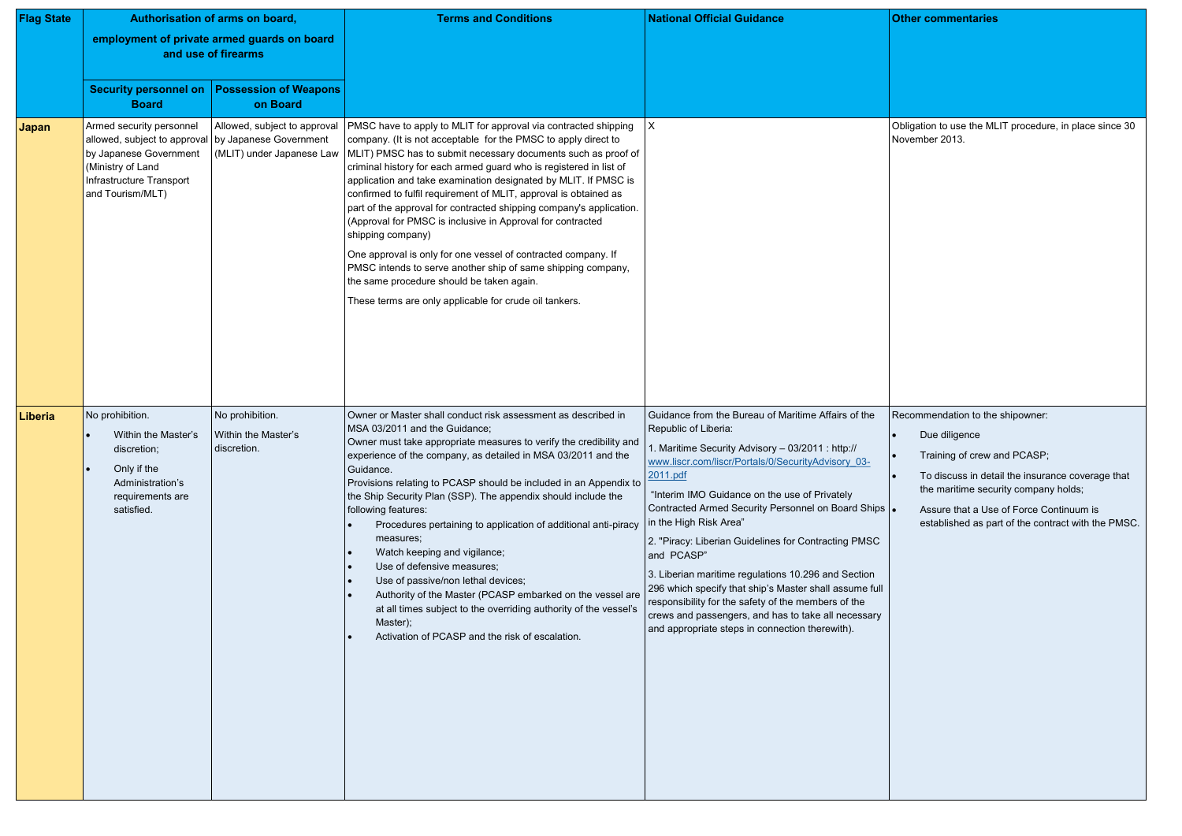| <b>Flag State</b> | Authorisation of arms on board,<br>employment of private armed guards on board<br>and use of firearms                                                                            |                                                           | <b>Terms and Conditions</b>                                                                                                                                                                                                                                                                                                                                                                                                                                                                                                                                                                                                                                                                                                                                                                                       | <b>National Official Guidance</b>                                                                                                                                                                                                                                                                                                                                                                                                                                                                                                                                                                                                                                                           |  |
|-------------------|----------------------------------------------------------------------------------------------------------------------------------------------------------------------------------|-----------------------------------------------------------|-------------------------------------------------------------------------------------------------------------------------------------------------------------------------------------------------------------------------------------------------------------------------------------------------------------------------------------------------------------------------------------------------------------------------------------------------------------------------------------------------------------------------------------------------------------------------------------------------------------------------------------------------------------------------------------------------------------------------------------------------------------------------------------------------------------------|---------------------------------------------------------------------------------------------------------------------------------------------------------------------------------------------------------------------------------------------------------------------------------------------------------------------------------------------------------------------------------------------------------------------------------------------------------------------------------------------------------------------------------------------------------------------------------------------------------------------------------------------------------------------------------------------|--|
|                   | <b>Security personnel on</b><br><b>Board</b>                                                                                                                                     | <b>Possession of Weapons</b><br>on Board                  |                                                                                                                                                                                                                                                                                                                                                                                                                                                                                                                                                                                                                                                                                                                                                                                                                   |                                                                                                                                                                                                                                                                                                                                                                                                                                                                                                                                                                                                                                                                                             |  |
| Japan             | Armed security personnel<br>allowed, subject to approval   by Japanese Government<br>by Japanese Government<br>(Ministry of Land<br>Infrastructure Transport<br>and Tourism/MLT) | Allowed, subject to approval<br>(MLIT) under Japanese Law | PMSC have to apply to MLIT for approval via contracted shipping<br>company. (It is not acceptable for the PMSC to apply direct to<br>MLIT) PMSC has to submit necessary documents such as proof of<br>criminal history for each armed guard who is registered in list of<br>application and take examination designated by MLIT. If PMSC is<br>confirmed to fulfil requirement of MLIT, approval is obtained as<br>part of the approval for contracted shipping company's application.<br>(Approval for PMSC is inclusive in Approval for contracted<br>shipping company)<br>One approval is only for one vessel of contracted company. If<br>PMSC intends to serve another ship of same shipping company,<br>the same procedure should be taken again.<br>These terms are only applicable for crude oil tankers. | $\mathsf{X}$                                                                                                                                                                                                                                                                                                                                                                                                                                                                                                                                                                                                                                                                                |  |
| <b>Liberia</b>    | No prohibition.<br>Within the Master's<br>discretion;<br>Only if the<br>Administration's<br>requirements are<br>satisfied.                                                       | No prohibition.<br>Within the Master's<br>discretion.     | Owner or Master shall conduct risk assessment as described in<br>MSA 03/2011 and the Guidance;<br>Owner must take appropriate measures to verify the credibility and<br>experience of the company, as detailed in MSA 03/2011 and the<br>Guidance.<br>Provisions relating to PCASP should be included in an Appendix to<br>the Ship Security Plan (SSP). The appendix should include the<br>following features:<br>Procedures pertaining to application of additional anti-piracy<br>measures;<br>Watch keeping and vigilance;<br>Use of defensive measures;<br>Use of passive/non lethal devices;<br>Authority of the Master (PCASP embarked on the vessel are<br>at all times subject to the overriding authority of the vessel's<br>Master);<br>Activation of PCASP and the risk of escalation.                | Guidance from the Bureau of Maritime Affairs of the<br>Republic of Liberia:<br>1. Maritime Security Advisory - 03/2011 : http://<br>www.liscr.com/liscr/Portals/0/SecurityAdvisory 03-<br>2011.pdf<br>"Interim IMO Guidance on the use of Privately<br>Contracted Armed Security Personnel on Board Ships<br>in the High Risk Area"<br>2. "Piracy: Liberian Guidelines for Contracting PMSC<br>and PCASP"<br>3. Liberian maritime regulations 10.296 and Section<br>296 which specify that ship's Master shall assume full<br>responsibility for the safety of the members of the<br>crews and passengers, and has to take all necessary<br>and appropriate steps in connection therewith). |  |

Obligation to use the MLIT procedure, in place since 30 November 2013.

Recommendation to the shipowner:

- Due diligence
- Training of crew and PCASP;
- $\left| \bullet \right\rangle$  To discuss in detail the insurance coverage that the maritime security company holds;
- Assure that a Use of Force Continuum is established as part of the contract with the PMSC.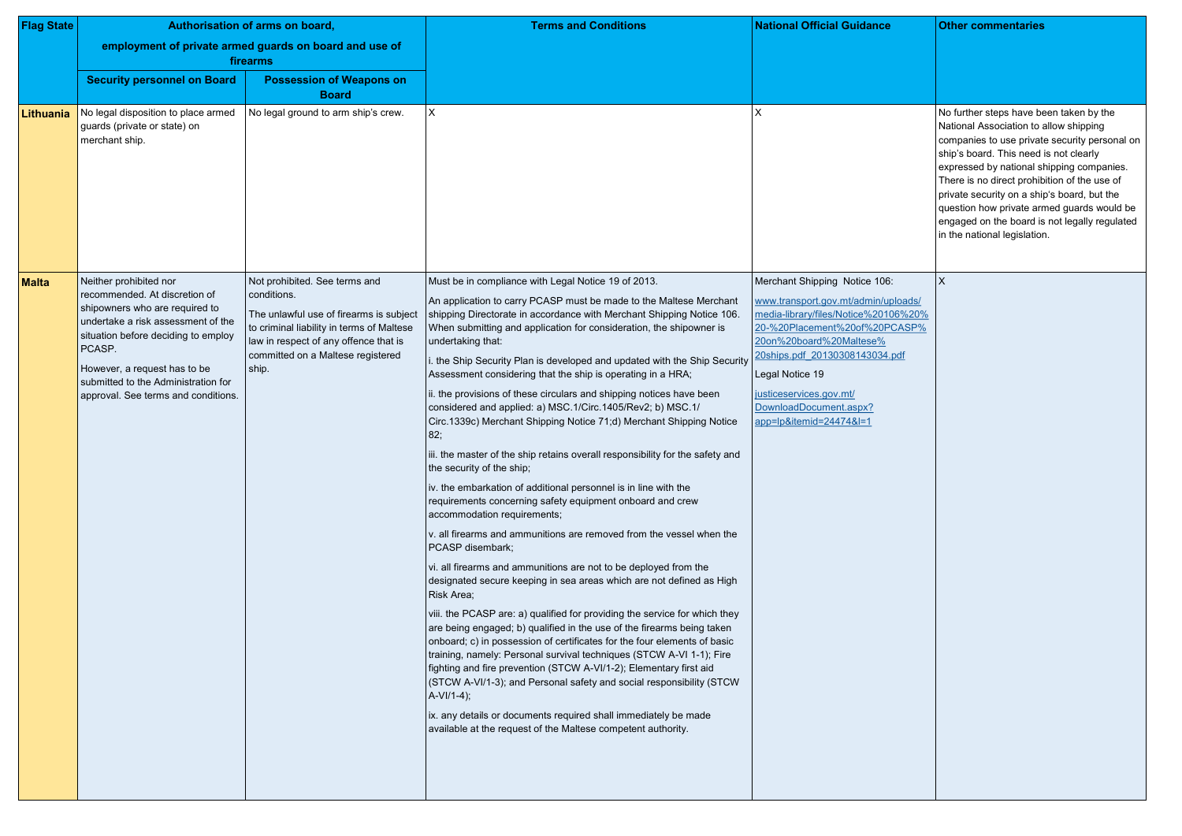| <b>Flag State</b> | Authorisation of arms on board,                                                                                                                                                                                                                                                                |                                                                                                                                                                                                                             | <b>Terms and Conditions</b>                                                                                                                                                                                                                                                                                                                                                                                                                                                                                                                                                                                                                                                                                                                                                                                                                                                                                                                                                                                                                                                                                                                                                                                                                                                                                                                                                                                                                                                                                                                                                                                                                                                                                                                                                                                  | <b>National Official Guidance</b>                                                                                                                                                                                                                                                                             | <b>Other commentaries</b>                                                                                                                                                                                                                                                                                                                                                                                                               |
|-------------------|------------------------------------------------------------------------------------------------------------------------------------------------------------------------------------------------------------------------------------------------------------------------------------------------|-----------------------------------------------------------------------------------------------------------------------------------------------------------------------------------------------------------------------------|--------------------------------------------------------------------------------------------------------------------------------------------------------------------------------------------------------------------------------------------------------------------------------------------------------------------------------------------------------------------------------------------------------------------------------------------------------------------------------------------------------------------------------------------------------------------------------------------------------------------------------------------------------------------------------------------------------------------------------------------------------------------------------------------------------------------------------------------------------------------------------------------------------------------------------------------------------------------------------------------------------------------------------------------------------------------------------------------------------------------------------------------------------------------------------------------------------------------------------------------------------------------------------------------------------------------------------------------------------------------------------------------------------------------------------------------------------------------------------------------------------------------------------------------------------------------------------------------------------------------------------------------------------------------------------------------------------------------------------------------------------------------------------------------------------------|---------------------------------------------------------------------------------------------------------------------------------------------------------------------------------------------------------------------------------------------------------------------------------------------------------------|-----------------------------------------------------------------------------------------------------------------------------------------------------------------------------------------------------------------------------------------------------------------------------------------------------------------------------------------------------------------------------------------------------------------------------------------|
|                   |                                                                                                                                                                                                                                                                                                | employment of private armed guards on board and use of<br>firearms                                                                                                                                                          |                                                                                                                                                                                                                                                                                                                                                                                                                                                                                                                                                                                                                                                                                                                                                                                                                                                                                                                                                                                                                                                                                                                                                                                                                                                                                                                                                                                                                                                                                                                                                                                                                                                                                                                                                                                                              |                                                                                                                                                                                                                                                                                                               |                                                                                                                                                                                                                                                                                                                                                                                                                                         |
|                   | <b>Security personnel on Board</b>                                                                                                                                                                                                                                                             | <b>Possession of Weapons on</b><br><b>Board</b>                                                                                                                                                                             |                                                                                                                                                                                                                                                                                                                                                                                                                                                                                                                                                                                                                                                                                                                                                                                                                                                                                                                                                                                                                                                                                                                                                                                                                                                                                                                                                                                                                                                                                                                                                                                                                                                                                                                                                                                                              |                                                                                                                                                                                                                                                                                                               |                                                                                                                                                                                                                                                                                                                                                                                                                                         |
| Lithuania         | No legal disposition to place armed<br>guards (private or state) on<br>merchant ship.                                                                                                                                                                                                          | No legal ground to arm ship's crew.                                                                                                                                                                                         | Χ                                                                                                                                                                                                                                                                                                                                                                                                                                                                                                                                                                                                                                                                                                                                                                                                                                                                                                                                                                                                                                                                                                                                                                                                                                                                                                                                                                                                                                                                                                                                                                                                                                                                                                                                                                                                            |                                                                                                                                                                                                                                                                                                               | No further steps have been taken by the<br>National Association to allow shipping<br>companies to use private security persor<br>ship's board. This need is not clearly<br>expressed by national shipping companic<br>There is no direct prohibition of the use o<br>private security on a ship's board, but the<br>question how private armed guards woul<br>engaged on the board is not legally regul<br>in the national legislation. |
| <b>Malta</b>      | Neither prohibited nor<br>recommended. At discretion of<br>shipowners who are required to<br>undertake a risk assessment of the<br>situation before deciding to employ<br>PCASP.<br>However, a request has to be<br>submitted to the Administration for<br>approval. See terms and conditions. | Not prohibited. See terms and<br>conditions.<br>The unlawful use of firearms is subject<br>to criminal liability in terms of Maltese<br>law in respect of any offence that is<br>committed on a Maltese registered<br>ship. | Must be in compliance with Legal Notice 19 of 2013.<br>An application to carry PCASP must be made to the Maltese Merchant<br>shipping Directorate in accordance with Merchant Shipping Notice 106<br>When submitting and application for consideration, the shipowner is<br>undertaking that:<br>. the Ship Security Plan is developed and updated with the Ship Security<br>Assessment considering that the ship is operating in a HRA;<br>ii. the provisions of these circulars and shipping notices have been<br>considered and applied: a) MSC.1/Circ.1405/Rev2; b) MSC.1/<br>Circ.1339c) Merchant Shipping Notice 71;d) Merchant Shipping Notice<br>82;<br>iii. the master of the ship retains overall responsibility for the safety and<br>the security of the ship;<br>iv. the embarkation of additional personnel is in line with the<br>requirements concerning safety equipment onboard and crew<br>accommodation requirements;<br>v. all firearms and ammunitions are removed from the vessel when the<br>PCASP disembark;<br>vi. all firearms and ammunitions are not to be deployed from the<br>designated secure keeping in sea areas which are not defined as High<br>Risk Area;<br>viii. the PCASP are: a) qualified for providing the service for which they<br>are being engaged; b) qualified in the use of the firearms being taken<br>onboard; c) in possession of certificates for the four elements of basic<br>training, namely: Personal survival techniques (STCW A-VI 1-1); Fire<br>fighting and fire prevention (STCW A-VI/1-2); Elementary first aid<br>(STCW A-VI/1-3); and Personal safety and social responsibility (STCW<br>$A-VI/1-4$ ;<br>ix. any details or documents required shall immediately be made<br>available at the request of the Maltese competent authority. | Merchant Shipping Notice 106:<br>www.transport.gov.mt/admin/uploads/<br>media-library/files/Notice%20106%20%<br>20-%20Placement%20of%20PCASP%<br>20on%20board%20Maltese%<br>20ships.pdf 20130308143034.pdf<br>Legal Notice 19<br>justiceservices.gov.mt/<br>DownloadDocument.aspx?<br>app=lp&itemid=24474&l=1 | $\mathsf{X}$                                                                                                                                                                                                                                                                                                                                                                                                                            |

|                                          | <b>Other commentaries</b>                                                                                                                                                                                                                                                                                                                                                                                                                               |
|------------------------------------------|---------------------------------------------------------------------------------------------------------------------------------------------------------------------------------------------------------------------------------------------------------------------------------------------------------------------------------------------------------------------------------------------------------------------------------------------------------|
|                                          | No further steps have been taken by the<br>National Association to allow shipping<br>companies to use private security personal on<br>ship's board. This need is not clearly<br>expressed by national shipping companies.<br>There is no direct prohibition of the use of<br>private security on a ship's board, but the<br>question how private armed guards would be<br>engaged on the board is not legally regulated<br>in the national legislation. |
| bloads/<br>06%20%<br>CASP%<br><u>pdf</u> | $\sf X$                                                                                                                                                                                                                                                                                                                                                                                                                                                 |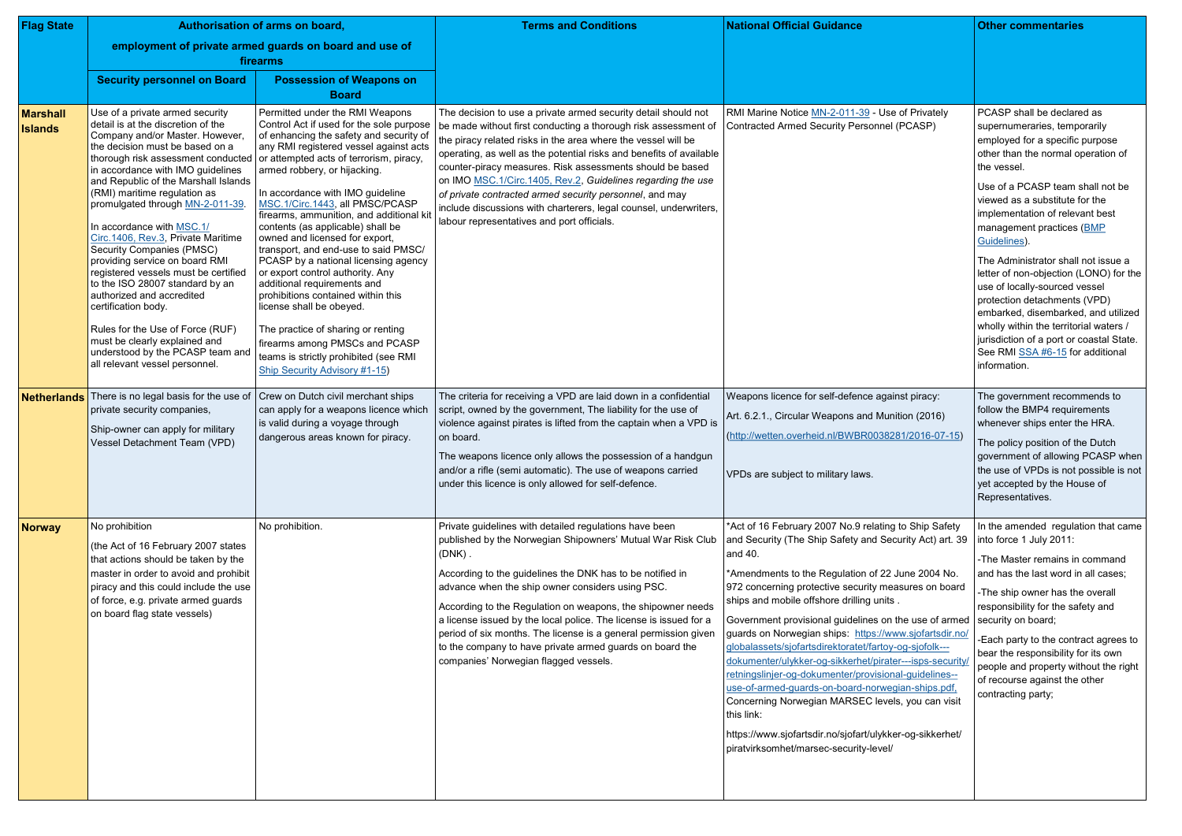| <b>Flag State</b>          |                                                                                                                                                                                                                                                                                                                                                                                                                                                                                                                                                                                                                                                                                                         | Authorisation of arms on board,                                                                                                                                                                                                                                                                                                                                                                                                                                                                                                                                                                                                                                                                                                                                                                                                                | <b>Terms and Conditions</b>                                                                                                                                                                                                                                                                                                                                                                                                                                                                                                                                                        | <b>National Official Guidance</b>                                                                                                                                                                                                                                                                                                                                                                                                                                                                                                                                                                                                                                                                                                                                                                                     | <b>Other commentaries</b>                                                                                                                                                                                                                                                                                                                                                                                                                                                                                                                                                                                                                   |
|----------------------------|---------------------------------------------------------------------------------------------------------------------------------------------------------------------------------------------------------------------------------------------------------------------------------------------------------------------------------------------------------------------------------------------------------------------------------------------------------------------------------------------------------------------------------------------------------------------------------------------------------------------------------------------------------------------------------------------------------|------------------------------------------------------------------------------------------------------------------------------------------------------------------------------------------------------------------------------------------------------------------------------------------------------------------------------------------------------------------------------------------------------------------------------------------------------------------------------------------------------------------------------------------------------------------------------------------------------------------------------------------------------------------------------------------------------------------------------------------------------------------------------------------------------------------------------------------------|------------------------------------------------------------------------------------------------------------------------------------------------------------------------------------------------------------------------------------------------------------------------------------------------------------------------------------------------------------------------------------------------------------------------------------------------------------------------------------------------------------------------------------------------------------------------------------|-----------------------------------------------------------------------------------------------------------------------------------------------------------------------------------------------------------------------------------------------------------------------------------------------------------------------------------------------------------------------------------------------------------------------------------------------------------------------------------------------------------------------------------------------------------------------------------------------------------------------------------------------------------------------------------------------------------------------------------------------------------------------------------------------------------------------|---------------------------------------------------------------------------------------------------------------------------------------------------------------------------------------------------------------------------------------------------------------------------------------------------------------------------------------------------------------------------------------------------------------------------------------------------------------------------------------------------------------------------------------------------------------------------------------------------------------------------------------------|
|                            | <b>Security personnel on Board</b>                                                                                                                                                                                                                                                                                                                                                                                                                                                                                                                                                                                                                                                                      | employment of private armed guards on board and use of<br>firearms<br><b>Possession of Weapons on</b>                                                                                                                                                                                                                                                                                                                                                                                                                                                                                                                                                                                                                                                                                                                                          |                                                                                                                                                                                                                                                                                                                                                                                                                                                                                                                                                                                    |                                                                                                                                                                                                                                                                                                                                                                                                                                                                                                                                                                                                                                                                                                                                                                                                                       |                                                                                                                                                                                                                                                                                                                                                                                                                                                                                                                                                                                                                                             |
|                            |                                                                                                                                                                                                                                                                                                                                                                                                                                                                                                                                                                                                                                                                                                         | <b>Board</b>                                                                                                                                                                                                                                                                                                                                                                                                                                                                                                                                                                                                                                                                                                                                                                                                                                   |                                                                                                                                                                                                                                                                                                                                                                                                                                                                                                                                                                                    |                                                                                                                                                                                                                                                                                                                                                                                                                                                                                                                                                                                                                                                                                                                                                                                                                       |                                                                                                                                                                                                                                                                                                                                                                                                                                                                                                                                                                                                                                             |
| Marshall<br><b>Islands</b> | Use of a private armed security<br>detail is at the discretion of the<br>Company and/or Master. However<br>the decision must be based on a<br>in accordance with IMO guidelines<br>and Republic of the Marshall Islands<br>(RMI) maritime regulation as<br>promulgated through MN-2-011-39.<br>In accordance with MSC.1/<br>Circ.1406, Rev.3, Private Maritime<br>Security Companies (PMSC)<br>providing service on board RMI<br>registered vessels must be certified<br>to the ISO 28007 standard by an<br>authorized and accredited<br>certification body.<br>Rules for the Use of Force (RUF)<br>must be clearly explained and<br>understood by the PCASP team and<br>all relevant vessel personnel. | Permitted under the RMI Weapons<br>Control Act if used for the sole purpose<br>of enhancing the safety and security of<br>any RMI registered vessel against acts<br>thorough risk assessment conducted or attempted acts of terrorism, piracy,<br>armed robbery, or hijacking.<br>In accordance with IMO guideline<br>MSC.1/Circ.1443, all PMSC/PCASP<br>firearms, ammunition, and additional ki<br>contents (as applicable) shall be<br>owned and licensed for export,<br>transport, and end-use to said PMSC/<br>PCASP by a national licensing agency<br>or export control authority. Any<br>additional requirements and<br>prohibitions contained within this<br>license shall be obeyed.<br>The practice of sharing or renting<br>firearms among PMSCs and PCASP<br>teams is strictly prohibited (see RMI<br>Ship Security Advisory #1-15) | The decision to use a private armed security detail should not<br>be made without first conducting a thorough risk assessment of<br>the piracy related risks in the area where the vessel will be<br>operating, as well as the potential risks and benefits of available<br>counter-piracy measures. Risk assessments should be based<br>on IMO MSC.1/Circ.1405, Rev.2, Guidelines regarding the use<br>of private contracted armed security personnel, and may<br>include discussions with charterers, legal counsel, underwriters,<br>labour representatives and port officials. | RMI Marine Notice MN-2-011-39 - Use of Privately<br>Contracted Armed Security Personnel (PCASP)                                                                                                                                                                                                                                                                                                                                                                                                                                                                                                                                                                                                                                                                                                                       | PCASP shall be declared as<br>supernumeraries, temporarily<br>employed for a specific purpose<br>other than the normal operation of<br>the vessel.<br>Use of a PCASP team shall not be<br>viewed as a substitute for the<br>implementation of relevant best<br>management practices (BMP<br>Guidelines).<br>The Administrator shall not issue a<br>letter of non-objection (LONO) for the<br>use of locally-sourced vessel<br>protection detachments (VPD)<br>embarked, disembarked, and utilized<br>wholly within the territorial waters /<br>jurisdiction of a port or coastal State.<br>See RMI SSA #6-15 for additional<br>information. |
| Netherlands                | There is no legal basis for the use of<br>private security companies,<br>Ship-owner can apply for military<br>Vessel Detachment Team (VPD)                                                                                                                                                                                                                                                                                                                                                                                                                                                                                                                                                              | Crew on Dutch civil merchant ships<br>can apply for a weapons licence which<br>is valid during a voyage through<br>dangerous areas known for piracy.                                                                                                                                                                                                                                                                                                                                                                                                                                                                                                                                                                                                                                                                                           | The criteria for receiving a VPD are laid down in a confidential<br>script, owned by the government, The liability for the use of<br>violence against pirates is lifted from the captain when a VPD is<br>on board.<br>The weapons licence only allows the possession of a handgun<br>and/or a rifle (semi automatic). The use of weapons carried<br>under this licence is only allowed for self-defence.                                                                                                                                                                          | Weapons licence for self-defence against piracy:<br>Art. 6.2.1., Circular Weapons and Munition (2016)<br>(http://wetten.overheid.nl/BWBR0038281/2016-07-15)<br>VPDs are subject to military laws.                                                                                                                                                                                                                                                                                                                                                                                                                                                                                                                                                                                                                     | The government recommends to<br>follow the BMP4 requirements<br>whenever ships enter the HRA.<br>The policy position of the Dutch<br>government of allowing PCASP when<br>the use of VPDs is not possible is not<br>yet accepted by the House of<br>Representatives.                                                                                                                                                                                                                                                                                                                                                                        |
| <b>Norway</b>              | No prohibition<br>(the Act of 16 February 2007 states<br>that actions should be taken by the<br>master in order to avoid and prohibit<br>piracy and this could include the use<br>of force, e.g. private armed guards<br>on board flag state vessels)                                                                                                                                                                                                                                                                                                                                                                                                                                                   | No prohibition.                                                                                                                                                                                                                                                                                                                                                                                                                                                                                                                                                                                                                                                                                                                                                                                                                                | Private guidelines with detailed regulations have been<br>published by the Norwegian Shipowners' Mutual War Risk Club<br>$(DNK)$ .<br>According to the guidelines the DNK has to be notified in<br>advance when the ship owner considers using PSC.<br>According to the Regulation on weapons, the shipowner needs<br>a license issued by the local police. The license is issued for a<br>period of six months. The license is a general permission given<br>to the company to have private armed guards on board the<br>companies' Norwegian flagged vessels.                    | *Act of 16 February 2007 No.9 relating to Ship Safety<br>and Security (The Ship Safety and Security Act) art. 39<br>and 40.<br>*Amendments to the Regulation of 22 June 2004 No.<br>972 concerning protective security measures on board<br>ships and mobile offshore drilling units.<br>Government provisional guidelines on the use of armed<br>guards on Norwegian ships: https://www.sjofartsdir.no/<br>globalassets/sjofartsdirektoratet/fartoy-og-sjofolk---<br>dokumenter/ulykker-og-sikkerhet/pirater---isps-security/<br>retningslinjer-og-dokumenter/provisional-guidelines--<br>use-of-armed-guards-on-board-norwegian-ships.pdf,<br>Concerning Norwegian MARSEC levels, you can visit<br>this link:<br>https://www.sjofartsdir.no/sjofart/ulykker-og-sikkerhet/<br>piratvirksomhet/marsec-security-level/ | In the amended regulation that came<br>into force 1 July 2011:<br>-The Master remains in command<br>and has the last word in all cases;<br>-The ship owner has the overall<br>responsibility for the safety and<br>security on board;<br>-Each party to the contract agrees to<br>bear the responsibility for its own<br>people and property without the right<br>of recourse against the other<br>contracting party;                                                                                                                                                                                                                       |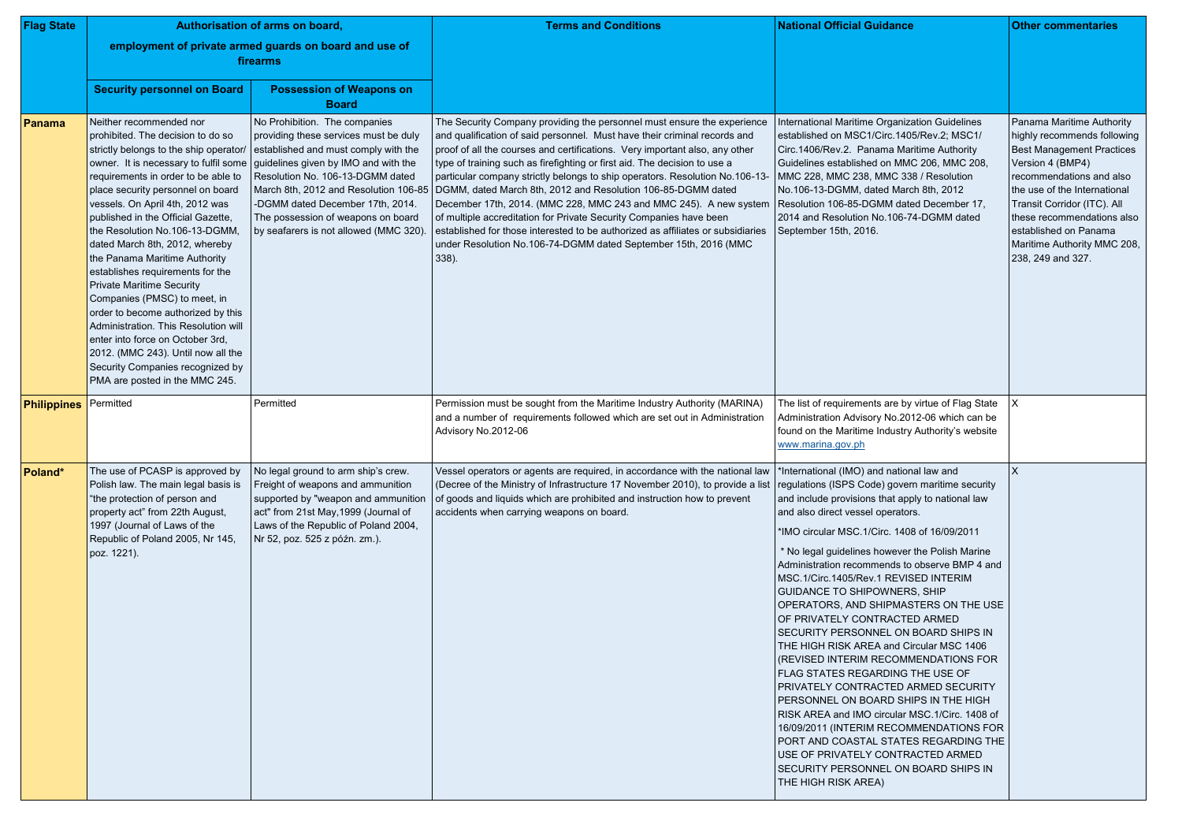| <b>Flag State</b>     | Authorisation of arms on board,                                                                                                                                                                                                                                                                                                                                                                                                                                                                                                                                                                                                                                                                        |                                                                                                                                                                                                                                                                                                                                                                                               | <b>Terms and Conditions</b>                                                                                                                                                                                                                                                                                                                                                                                                                                                                                                                                                                                                                                                                                                                                                   | <b>National Official Guidance</b>                                                                                                                                                                                                                                                                                                                                                                                                                                                                                                                                                                                                                                                                                                                                                                                                                                                                                                                                                               | <b>Other commentaries</b>                                                                                                                                                                                                                                                                                              |
|-----------------------|--------------------------------------------------------------------------------------------------------------------------------------------------------------------------------------------------------------------------------------------------------------------------------------------------------------------------------------------------------------------------------------------------------------------------------------------------------------------------------------------------------------------------------------------------------------------------------------------------------------------------------------------------------------------------------------------------------|-----------------------------------------------------------------------------------------------------------------------------------------------------------------------------------------------------------------------------------------------------------------------------------------------------------------------------------------------------------------------------------------------|-------------------------------------------------------------------------------------------------------------------------------------------------------------------------------------------------------------------------------------------------------------------------------------------------------------------------------------------------------------------------------------------------------------------------------------------------------------------------------------------------------------------------------------------------------------------------------------------------------------------------------------------------------------------------------------------------------------------------------------------------------------------------------|-------------------------------------------------------------------------------------------------------------------------------------------------------------------------------------------------------------------------------------------------------------------------------------------------------------------------------------------------------------------------------------------------------------------------------------------------------------------------------------------------------------------------------------------------------------------------------------------------------------------------------------------------------------------------------------------------------------------------------------------------------------------------------------------------------------------------------------------------------------------------------------------------------------------------------------------------------------------------------------------------|------------------------------------------------------------------------------------------------------------------------------------------------------------------------------------------------------------------------------------------------------------------------------------------------------------------------|
|                       | employment of private armed guards on board and use of<br>firearms                                                                                                                                                                                                                                                                                                                                                                                                                                                                                                                                                                                                                                     |                                                                                                                                                                                                                                                                                                                                                                                               |                                                                                                                                                                                                                                                                                                                                                                                                                                                                                                                                                                                                                                                                                                                                                                               |                                                                                                                                                                                                                                                                                                                                                                                                                                                                                                                                                                                                                                                                                                                                                                                                                                                                                                                                                                                                 |                                                                                                                                                                                                                                                                                                                        |
|                       | <b>Security personnel on Board</b>                                                                                                                                                                                                                                                                                                                                                                                                                                                                                                                                                                                                                                                                     | <b>Possession of Weapons on</b><br><b>Board</b>                                                                                                                                                                                                                                                                                                                                               |                                                                                                                                                                                                                                                                                                                                                                                                                                                                                                                                                                                                                                                                                                                                                                               |                                                                                                                                                                                                                                                                                                                                                                                                                                                                                                                                                                                                                                                                                                                                                                                                                                                                                                                                                                                                 |                                                                                                                                                                                                                                                                                                                        |
| Panama                | Neither recommended nor<br>prohibited. The decision to do so<br>strictly belongs to the ship operator/<br>requirements in order to be able to<br>place security personnel on board<br>vessels. On April 4th, 2012 was<br>published in the Official Gazette,<br>the Resolution No.106-13-DGMM,<br>dated March 8th, 2012, whereby<br>the Panama Maritime Authority<br>establishes requirements for the<br><b>Private Maritime Security</b><br>Companies (PMSC) to meet, in<br>order to become authorized by this<br>Administration. This Resolution will<br>enter into force on October 3rd,<br>2012. (MMC 243). Until now all the<br>Security Companies recognized by<br>PMA are posted in the MMC 245. | No Prohibition. The companies<br>providing these services must be duly<br>established and must comply with the<br>owner. It is necessary to fulfil some guidelines given by IMO and with the<br>Resolution No. 106-13-DGMM dated<br>March 8th, 2012 and Resolution 106-85<br>-DGMM dated December 17th, 2014.<br>The possession of weapons on board<br>by seafarers is not allowed (MMC 320). | The Security Company providing the personnel must ensure the experience<br>and qualification of said personnel. Must have their criminal records and<br>proof of all the courses and certifications. Very important also, any other<br>type of training such as firefighting or first aid. The decision to use a<br>particular company strictly belongs to ship operators. Resolution No.106-13-<br>DGMM, dated March 8th, 2012 and Resolution 106-85-DGMM dated<br>December 17th, 2014. (MMC 228, MMC 243 and MMC 245). A new system<br>of multiple accreditation for Private Security Companies have been<br>established for those interested to be authorized as affiliates or subsidiaries<br>under Resolution No.106-74-DGMM dated September 15th, 2016 (MMC<br>$338$ ). | International Maritime Organization Guidelines<br>established on MSC1/Circ.1405/Rev.2; MSC1/<br>Circ.1406/Rev.2. Panama Maritime Authority<br>Guidelines established on MMC 206, MMC 208,<br>MMC 228, MMC 238, MMC 338 / Resolution<br>No.106-13-DGMM, dated March 8th, 2012<br>Resolution 106-85-DGMM dated December 17,<br>2014 and Resolution No.106-74-DGMM dated<br>September 15th, 2016.                                                                                                                                                                                                                                                                                                                                                                                                                                                                                                                                                                                                  | Panama Maritime Authority<br>highly recommends following<br><b>Best Management Practices</b><br>Version 4 (BMP4)<br>recommendations and also<br>the use of the International<br>Transit Corridor (ITC). All<br>these recommendations also<br>established on Panama<br>Maritime Authority MMC 208,<br>238, 249 and 327. |
| Philippines Permitted |                                                                                                                                                                                                                                                                                                                                                                                                                                                                                                                                                                                                                                                                                                        | Permitted                                                                                                                                                                                                                                                                                                                                                                                     | Permission must be sought from the Maritime Industry Authority (MARINA)<br>and a number of requirements followed which are set out in Administration<br>Advisory No.2012-06                                                                                                                                                                                                                                                                                                                                                                                                                                                                                                                                                                                                   | The list of requirements are by virtue of Flag State<br>Administration Advisory No.2012-06 which can be<br>found on the Maritime Industry Authority's website<br>www.marina.gov.ph                                                                                                                                                                                                                                                                                                                                                                                                                                                                                                                                                                                                                                                                                                                                                                                                              |                                                                                                                                                                                                                                                                                                                        |
| Poland*               | The use of PCASP is approved by<br>Polish law. The main legal basis is<br>"the protection of person and<br>property act" from 22th August,<br>1997 (Journal of Laws of the<br>Republic of Poland 2005, Nr 145,<br>poz. 1221).                                                                                                                                                                                                                                                                                                                                                                                                                                                                          | No legal ground to arm ship's crew.<br>Freight of weapons and ammunition<br>supported by "weapon and ammunition<br>act" from 21st May, 1999 (Journal of<br>Laws of the Republic of Poland 2004,<br>Nr 52, poz. 525 z późn. zm.).                                                                                                                                                              | Vessel operators or agents are required, in accordance with the national law<br>(Decree of the Ministry of Infrastructure 17 November 2010), to provide a list<br>of goods and liquids which are prohibited and instruction how to prevent<br>accidents when carrying weapons on board.                                                                                                                                                                                                                                                                                                                                                                                                                                                                                       | *International (IMO) and national law and<br>regulations (ISPS Code) govern maritime security<br>and include provisions that apply to national law<br>and also direct vessel operators.<br>*IMO circular MSC.1/Circ. 1408 of 16/09/2011<br>* No legal guidelines however the Polish Marine<br>Administration recommends to observe BMP 4 and<br>MSC.1/Circ.1405/Rev.1 REVISED INTERIM<br><b>GUIDANCE TO SHIPOWNERS, SHIP</b><br>OPERATORS, AND SHIPMASTERS ON THE USE<br>OF PRIVATELY CONTRACTED ARMED<br>SECURITY PERSONNEL ON BOARD SHIPS IN<br>THE HIGH RISK AREA and Circular MSC 1406<br>(REVISED INTERIM RECOMMENDATIONS FOR<br>FLAG STATES REGARDING THE USE OF<br>PRIVATELY CONTRACTED ARMED SECURITY<br>PERSONNEL ON BOARD SHIPS IN THE HIGH<br>RISK AREA and IMO circular MSC.1/Circ. 1408 of<br>16/09/2011 (INTERIM RECOMMENDATIONS FOR<br>PORT AND COASTAL STATES REGARDING THE<br>USE OF PRIVATELY CONTRACTED ARMED<br>SECURITY PERSONNEL ON BOARD SHIPS IN<br>THE HIGH RISK AREA) |                                                                                                                                                                                                                                                                                                                        |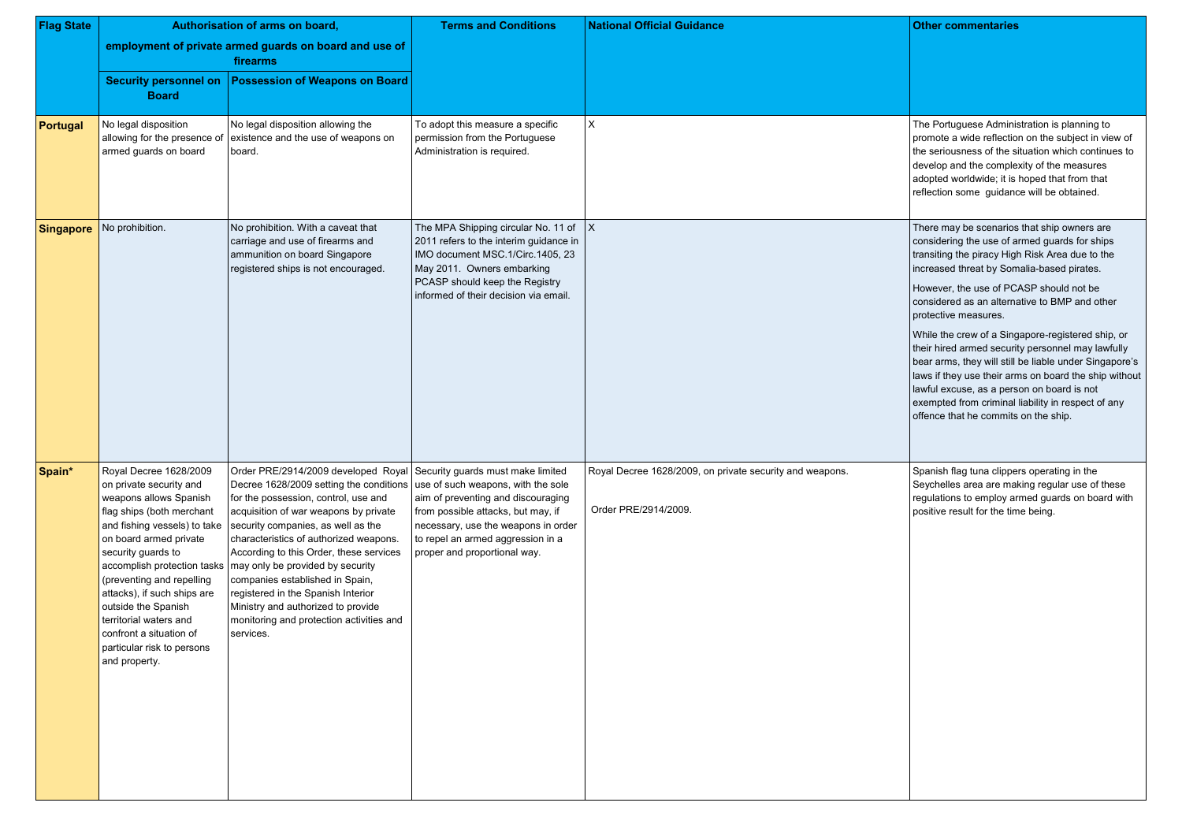The Portuguese Administration is planning to promote a wide reflection on the subject in view of the seriousness of the situation which continues to develop and the complexity of the measures adopted worldwide; it is hoped that from that reflection some guidance will be obtained.

There may be scenarios that ship owners are considering the use of armed guards for ships transiting the piracy High Risk Area due to the increased threat by Somalia-based pirates.

However, the use of PCASP should not be considered as an alternative to BMP and other protective measures.

| <b>Flag State</b> | Authorisation of arms on board,                                                                                                                                                                                                                                                                                                                                                                                |                                                                                                                                                                                                                                                                                                                                                                                                                                                                                                                                          | <b>Terms and Conditions</b>                                                                                                                                                                                                | <b>National Official Guidance</b>                                                |  |
|-------------------|----------------------------------------------------------------------------------------------------------------------------------------------------------------------------------------------------------------------------------------------------------------------------------------------------------------------------------------------------------------------------------------------------------------|------------------------------------------------------------------------------------------------------------------------------------------------------------------------------------------------------------------------------------------------------------------------------------------------------------------------------------------------------------------------------------------------------------------------------------------------------------------------------------------------------------------------------------------|----------------------------------------------------------------------------------------------------------------------------------------------------------------------------------------------------------------------------|----------------------------------------------------------------------------------|--|
|                   | employment of private armed guards on board and use of<br>firearms                                                                                                                                                                                                                                                                                                                                             |                                                                                                                                                                                                                                                                                                                                                                                                                                                                                                                                          |                                                                                                                                                                                                                            |                                                                                  |  |
|                   | <b>Security personnel on</b><br><b>Board</b>                                                                                                                                                                                                                                                                                                                                                                   | <b>Possession of Weapons on Board</b>                                                                                                                                                                                                                                                                                                                                                                                                                                                                                                    |                                                                                                                                                                                                                            |                                                                                  |  |
| <b>Portugal</b>   | No legal disposition<br>allowing for the presence of<br>armed guards on board                                                                                                                                                                                                                                                                                                                                  | No legal disposition allowing the<br>existence and the use of weapons on<br>board.                                                                                                                                                                                                                                                                                                                                                                                                                                                       | To adopt this measure a specific<br>permission from the Portuguese<br>Administration is required.                                                                                                                          | X                                                                                |  |
| <b>Singapore</b>  | No prohibition.                                                                                                                                                                                                                                                                                                                                                                                                | No prohibition. With a caveat that<br>carriage and use of firearms and<br>ammunition on board Singapore<br>registered ships is not encouraged.                                                                                                                                                                                                                                                                                                                                                                                           | The MPA Shipping circular No. 11 of<br>2011 refers to the interim guidance in<br>IMO document MSC.1/Circ.1405, 23<br>May 2011. Owners embarking<br>PCASP should keep the Registry<br>informed of their decision via email. | $\mathsf{X}$                                                                     |  |
| Spain*            | Royal Decree 1628/2009<br>on private security and<br>weapons allows Spanish<br>flag ships (both merchant<br>and fishing vessels) to take<br>on board armed private<br>security guards to<br>accomplish protection tasks<br>(preventing and repelling<br>attacks), if such ships are<br>outside the Spanish<br>territorial waters and<br>confront a situation of<br>particular risk to persons<br>and property. | Order PRE/2914/2009 developed Royal Security guards must make limited<br>Decree 1628/2009 setting the conditions<br>for the possession, control, use and<br>acquisition of war weapons by private<br>security companies, as well as the<br>characteristics of authorized weapons.<br>According to this Order, these services<br>may only be provided by security<br>companies established in Spain,<br>registered in the Spanish Interior<br>Ministry and authorized to provide<br>monitoring and protection activities and<br>services. | use of such weapons, with the sole<br>aim of preventing and discouraging<br>from possible attacks, but may, if<br>necessary, use the weapons in order<br>to repel an armed aggression in a<br>proper and proportional way. | Royal Decree 1628/2009, on private security and weapons.<br>Order PRE/2914/2009. |  |

While the crew of a Singapore-registered ship, or their hired armed security personnel may lawfully bear arms, they will still be liable under Singapore's laws if they use their arms on board the ship without lawful excuse, as a person on board is not exempted from criminal liability in respect of any offence that he commits on the ship.

Spanish flag tuna clippers operating in the Seychelles area are making regular use of these regulations to employ armed guards on board with positive result for the time being.